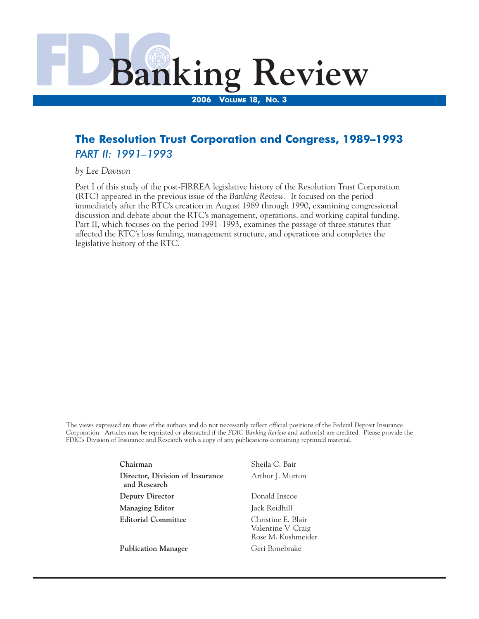

# **The Resolution Trust Corporation and Congress, 1989–1993**  *PART II: 1991–1993*

*by Lee Davison* 

Part I of this study of the post-FIRREA legislative history of the Resolution Trust Corporation (RTC) appeared in the previous issue of the *Banking Review.* It focused on the period immediately after the RTC's creation in August 1989 through 1990, examining congressional discussion and debate about the RTC's management, operations, and working capital funding. Part II, which focuses on the period 1991–1993, examines the passage of three statutes that affected the RTC's loss funding, management structure, and operations and completes the legislative history of the RTC.

The views expressed are those of the authors and do not necessarily reflect official positions of the Federal Deposit Insurance Corporation. Articles may be reprinted or abstracted if the *FDIC Banking Review* and author(s) are credited. Please provide the FDIC's Division of Insurance and Research with a copy of any publications containing reprinted material.

> **Chairman** Sheila C. Bair **Director, Division of Insurance** Arthur J. Murton **and Research Deputy Director Donald Inscoe Managing Editor** Jack Reidhill **Editorial Committee** Christine E. Blair

Valentine V. Craig Rose M. Kushmeider **Publication Manager Geri Bonebrake**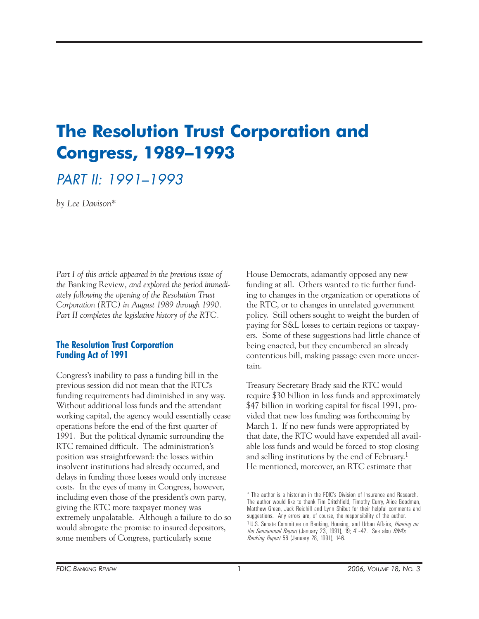# **The Resolution Trust Corporation and Congress, 1989–1993**

# PART II: 1991–1993

*by Lee Davison\** 

Part I of this article appeared in the previous issue of *the* Banking Review*, and explored the period immediately following the opening of the Resolution Trust Corporation (RTC) in August 1989 through 1990. Part II completes the legislative history of the RTC.* 

#### **The Resolution Trust Corporation Funding Act of 1991**

Congress's inability to pass a funding bill in the previous session did not mean that the RTC's funding requirements had diminished in any way. Without additional loss funds and the attendant working capital, the agency would essentially cease operations before the end of the first quarter of 1991. But the political dynamic surrounding the RTC remained difficult. The administration's position was straightforward: the losses within insolvent institutions had already occurred, and delays in funding those losses would only increase costs. In the eyes of many in Congress, however, including even those of the president's own party, giving the RTC more taxpayer money was extremely unpalatable. Although a failure to do so would abrogate the promise to insured depositors, some members of Congress, particularly some

House Democrats, adamantly opposed any new funding at all. Others wanted to tie further funding to changes in the organization or operations of the RTC, or to changes in unrelated government policy. Still others sought to weight the burden of paying for S&L losses to certain regions or taxpayers. Some of these suggestions had little chance of being enacted, but they encumbered an already contentious bill, making passage even more uncertain.

Treasury Secretary Brady said the RTC would require \$30 billion in loss funds and approximately \$47 billion in working capital for fiscal 1991, provided that new loss funding was forthcoming by March 1. If no new funds were appropriated by that date, the RTC would have expended all available loss funds and would be forced to stop closing and selling institutions by the end of February.1 He mentioned, moreover, an RTC estimate that

<sup>\*</sup> The author is a historian in the FDIC's Division of Insurance and Research. The author would like to thank Tim Critchfield, Timothy Curry, Alice Goodman, Matthew Green, Jack Reidhill and Lynn Shibut for their helpful comments and <sup>1</sup> U.S. Senate Committee on Banking, Housing, and Urban Affairs, *Hearing on the Semiannual Report* (January 23, 1991), 19; 41–42. See also *BNA's Banking Report* 56 (January 28, 1991), 146.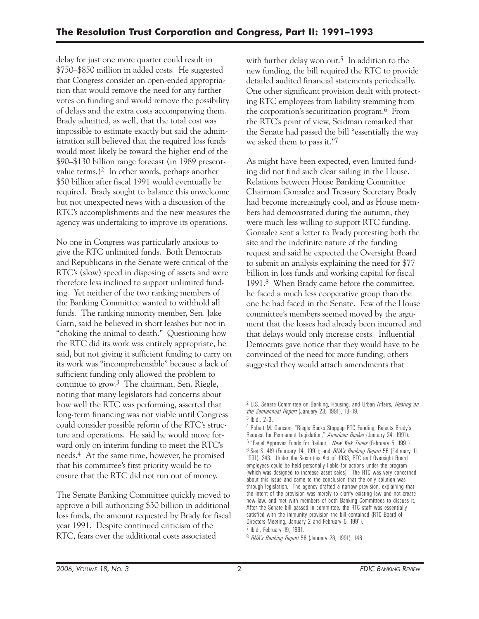delay for just one more quarter could result in \$750–\$850 million in added costs. He suggested that Congress consider an open-ended appropriation that would remove the need for any further votes on funding and would remove the possibility of delays and the extra costs accompanying them. Brady admitted, as well, that the total cost was impossible to estimate exactly but said the administration still believed that the required loss funds would most likely be toward the higher end of the \$90–\$130 billion range forecast (in 1989 presentvalue terms.)2 In other words, perhaps another \$50 billion after fiscal 1991 would eventually be required. Brady sought to balance this unwelcome but not unexpected news with a discussion of the RTC's accomplishments and the new measures the agency was undertaking to improve its operations.

No one in Congress was particularly anxious to give the RTC unlimited funds. Both Democrats and Republicans in the Senate were critical of the RTC's (slow) speed in disposing of assets and were therefore less inclined to support unlimited funding. Yet neither of the two ranking members of the Banking Committee wanted to withhold all funds. The ranking minority member, Sen. Jake Garn, said he believed in short leashes but not in "choking the animal to death." Questioning how the RTC did its work was entirely appropriate, he said, but not giving it sufficient funding to carry on its work was "incomprehensible" because a lack of sufficient funding only allowed the problem to continue to grow.3 The chairman, Sen. Riegle, noting that many legislators had concerns about how well the RTC was performing, asserted that long-term financing was not viable until Congress could consider possible reform of the RTC's structure and operations. He said he would move forward only on interim funding to meet the RTC's needs.4 At the same time, however, he promised that his committee's first priority would be to ensure that the RTC did not run out of money.

The Senate Banking Committee quickly moved to approve a bill authorizing \$30 billion in additional loss funds, the amount requested by Brady for fiscal year 1991. Despite continued criticism of the RTC, fears over the additional costs associated

with further delay won out.<sup>5</sup> In addition to the new funding, the bill required the RTC to provide detailed audited financial statements periodically. One other significant provision dealt with protecting RTC employees from liability stemming from the corporation's securitization program.6 From the RTC's point of view, Seidman remarked that the Senate had passed the bill "essentially the way we asked them to pass it."7

As might have been expected, even limited funding did not find such clear sailing in the House. Relations between House Banking Committee Chairman Gonzalez and Treasury Secretary Brady had become increasingly cool, and as House members had demonstrated during the autumn, they were much less willing to support RTC funding. Gonzalez sent a letter to Brady protesting both the size and the indefinite nature of the funding request and said he expected the Oversight Board to submit an analysis explaining the need for \$77 billion in loss funds and working capital for fiscal 1991.8 When Brady came before the committee, he faced a much less cooperative group than the one he had faced in the Senate. Few of the House committee's members seemed moved by the argument that the losses had already been incurred and that delays would only increase costs. Influential Democrats gave notice that they would have to be convinced of the need for more funding; others suggested they would attach amendments that

<sup>2</sup> U.S. Senate Committee on Banking, Housing, and Urban Affairs, *Hearing on the Semiannual Report* (January 23, 1991), 18–19.

<sup>3</sup> Ibid., 2–3.

<sup>4</sup> Robert M. Garsson, "Riegle Backs Stopgap RTC Funding; Rejects Brady's Request for Permanent Legislation," *American Banker* (January 24, 1991). 5 "Panel Approves Funds for Bailout," *New York Times* (February 5, 1991). 6 See S. 419 (February 14, 1991); and *BNA's Banking Report* 56 (February 11, 1991), 243. Under the Securities Act of 1933, RTC and Oversight Board employees could be held personally liable for actions under the program (which was designed to increase asset sales). The RTC was very concerned about this issue and came to the conclusion that the only solution was through legislation. The agency drafted a narrow provision, explaining that the intent of the provision was merely to clarify existing law and not create new law, and met with members of both Banking Committees to discuss it. After the Senate bill passed in committee, the RTC staff was essentially satisfied with the immunity provision the bill contained (RTC Board of Directors Meeting, January 2 and February 5, 1991). 7 Ibid., February 19, 1991.

<sup>8</sup> *BNA's Banking Report* 56 (January 28, 1991), 146.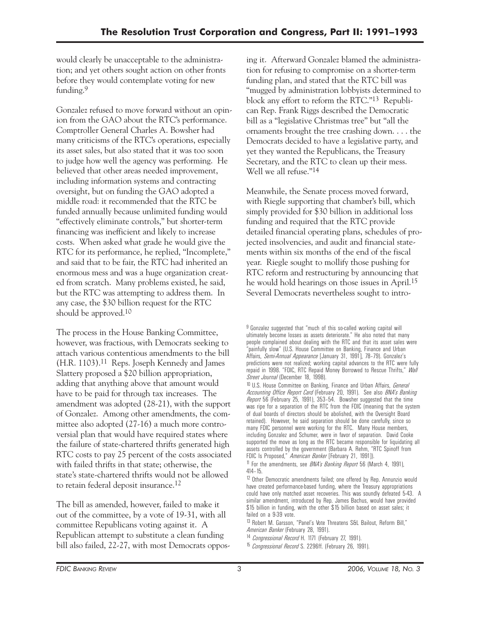would clearly be unacceptable to the administration; and yet others sought action on other fronts before they would contemplate voting for new funding.9

Gonzalez refused to move forward without an opinion from the GAO about the RTC's performance. Comptroller General Charles A. Bowsher had many criticisms of the RTC's operations, especially its asset sales, but also stated that it was too soon to judge how well the agency was performing. He believed that other areas needed improvement, including information systems and contracting oversight, but on funding the GAO adopted a middle road: it recommended that the RTC be funded annually because unlimited funding would "effectively eliminate controls," but shorter-term financing was inefficient and likely to increase costs. When asked what grade he would give the RTC for its performance, he replied, "Incomplete," and said that to be fair, the RTC had inherited an enormous mess and was a huge organization created from scratch. Many problems existed, he said, but the RTC was attempting to address them. In any case, the \$30 billion request for the RTC should be approved.10

The process in the House Banking Committee, however, was fractious, with Democrats seeking to attach various contentious amendments to the bill (H.R. 1103).11 Reps. Joseph Kennedy and James Slattery proposed a \$20 billion appropriation, adding that anything above that amount would have to be paid for through tax increases. The amendment was adopted (28-21), with the support of Gonzalez. Among other amendments, the committee also adopted (27-16) a much more controversial plan that would have required states where the failure of state-chartered thrifts generated high RTC costs to pay 25 percent of the costs associated with failed thrifts in that state; otherwise, the state's state-chartered thrifts would not be allowed to retain federal deposit insurance.12

The bill as amended, however, failed to make it out of the committee, by a vote of 19-31, with all committee Republicans voting against it. A Republican attempt to substitute a clean funding bill also failed, 22-27, with most Democrats opposing it. Afterward Gonzalez blamed the administration for refusing to compromise on a shorter-term funding plan, and stated that the RTC bill was "mugged by administration lobbyists determined to block any effort to reform the RTC."13 Republican Rep. Frank Riggs described the Democratic bill as a "legislative Christmas tree" but "all the ornaments brought the tree crashing down. . . . the Democrats decided to have a legislative party, and yet they wanted the Republicans, the Treasury Secretary, and the RTC to clean up their mess. Well we all refuse."14

Meanwhile, the Senate process moved forward, with Riegle supporting that chamber's bill, which simply provided for \$30 billion in additional loss funding and required that the RTC provide detailed financial operating plans, schedules of projected insolvencies, and audit and financial statements within six months of the end of the fiscal year. Riegle sought to mollify those pushing for RTC reform and restructuring by announcing that he would hold hearings on those issues in April.15 Several Democrats nevertheless sought to intro-

<sup>&</sup>lt;sup>9</sup> Gonzalez suggested that "much of this so-called working capital will ultimately become losses as assets deteriorate." He also noted that many people complained about dealing with the RTC and that its asset sales were "painfully slow" (U.S. House Committee on Banking, Finance and Urban Affairs, *Semi-Annual Appearance* [January 31, 1991], 78–79). Gonzalez's predictions were not realized; working capital advances to the RTC were fully repaid in 1998. "FDIC, RTC Repaid Money Borrowed to Rescue Thrifts," *Wall Street Journal* (December 18, 1998).

<sup>10</sup> U.S. House Committee on Banking, Finance and Urban Affairs, *General Accounting Office Report Card* (February 20, 1991). See also *BNA's Banking Report* 56 (February 25, 1991), 353–54. Bowsher suggested that the time was ripe for a separation of the RTC from the FDIC (meaning that the system of dual boards of directors should be abolished, with the Oversight Board retained). However, he said separation should be done carefully, since so many FDIC personnel were working for the RTC. Many House members, including Gonzalez and Schumer, were in favor of separation. David Cooke supported the move as long as the RTC became responsible for liquidating all assets controlled by the government (Barbara A. Rehm, "RTC Spinoff from FDIC Is Proposed," *American Banker* [February 21, 1991]).

<sup>11</sup> For the amendments, see *BNA's Banking Report* 56 (March 4, 1991), 414–15.

 could have only matched asset recoveries. This was soundly defeated 5-43. A <sup>12</sup> Other Democratic amendments failed; one offered by Rep. Annunzio would have created performance-based funding, where the Treasury appropriations similar amendment, introduced by Rep. James Bachus, would have provided \$15 billion in funding, with the other \$15 billion based on asset sales; it failed on a 9-39 vote.

<sup>13</sup> Robert M. Garsson, "Panel's Vote Threatens S&L Bailout, Reform Bill," *American Banker* (February 28, 1991).

<sup>14</sup> *Congressional Record* H. 1171 (February 27, 1991).

<sup>15</sup> *Congressional Record* S. 2296ff. (February 26, 1991).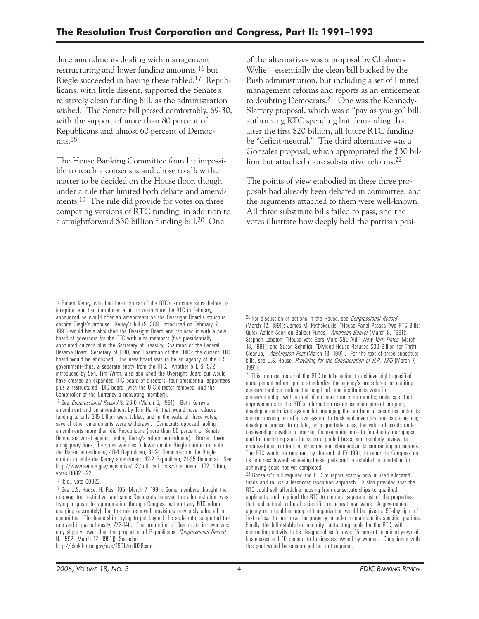duce amendments dealing with management restructuring and lower funding amounts,16 but Riegle succeeded in having these tabled.17 Republicans, with little dissent, supported the Senate's relatively clean funding bill, as the administration wished. The Senate bill passed comfortably, 69-30, with the support of more than 80 percent of Republicans and almost 60 percent of Democrats.18

The House Banking Committee found it impossible to reach a consensus and chose to allow the matter to be decided on the House floor, though under a rule that limited both debate and amendments.<sup>19</sup> The rule did provide for votes on three competing versions of RTC funding, in addition to a straightforward \$30 billion funding bill.20 One

of the alternatives was a proposal by Chalmers Wylie—essentially the clean bill backed by the Bush administration, but including a set of limited management reforms and reports as an enticement to doubting Democrats.21 One was the Kennedy-Slattery proposal, which was a "pay-as-you-go" bill, authorizing RTC spending but demanding that after the first \$20 billion, all future RTC funding be "deficit-neutral." The third alternative was a Gonzalez proposal, which appropriated the \$30 billion but attached more substantive reforms.22

The points of view embodied in these three proposals had already been debated in committee, and the arguments attached to them were well-known. All three substitute bills failed to pass, and the votes illustrate how deeply held the partisan posi-

 appointed citizens plus the Secretary of Treasury, Chairman of the Federal 16 Robert Kerrey, who had been critical of the RTC's structure since before its inception and had introduced a bill to restructure the RTC in February, announced he would offer an amendment on the Oversight Board's structure despite Riegle's promise. Kerrey's bill (S. 389, introduced on February 7, 1991) would have abolished the Oversight Board and replaced it with a new board of governors for the RTC with nine members (five presidentially Reserve Board, Secretary of HUD, and Chairman of the FDIC); the current RTC board would be abolished. The new board was to be an agency of the U.S. government—thus, a separate entity from the RTC. Another bill, S. 572, introduced by Sen. Tim Wirth, also abolished the Oversight Board but would have created an expanded RTC board of directors (four presidential appointees plus a restructured FDIC board [with the OTS director removed, and the Comptroller of the Currency a nonvoting member]).

17 See *Congressional Record* S. 2610 (March 5, 1991). Both Kerrey's amendment and an amendment by Tom Harkin that would have reduced funding to only \$15 billion were tabled, and in the wake of these votes, several other amendments were withdrawn. Democrats opposed tabling amendments more than did Republicans (more than 60 percent of Senate Democrats voted against tabling Kerrey's reform amendment). Broken down along party lines, the votes went as follows: on the Riegle motion to table the Harkin amendment, 40-4 Republican, 31-24 Democrat; on the Riegle motion to table the Kerrey amendment, 42-2 Republican, 21-35 Democrat. See http://www.senate.gov/legislative/LIS/roll\_call\_lists/vote\_menu\_102\_1.htm, votes 00021–22.

#### 18 Ibid., vote 00025.

19 See U.S. House, H. Res. 105 (March 7, 1991). Some members thought the rule was too restrictive, and some Democrats believed the administration was trying to push the appropriation through Congress without any RTC reform, charging (accurately) that the rule removed provisions previously adopted in committee. The leadership, trying to get beyond the stalemate, supported the rule and it passed easily, 272-146. The proportion of Democrats in favor was only slightly lower than the proportion of Republicans (*Congressional Record*  H. 1592 [March 12, 1991]). See also http://clerk.house.gov/evs/1991/roll038.xml.

20 For discussion of actions in the House, see *Congressional Record*  (March 12, 1991); James M. Pethokoukis, "House Panel Passes Two RTC Bills; Quick Action Seen on Bailout Funds," *American Banker* (March 8, 1991); Stephen Labaton, "House Vote Bars More S&L Aid," *New York Times* (March 13, 1991); and Susan Schmidt, "Divided House Refuses \$30 Billion for Thrift Cleanup," *Washington Post* (March 13, 1991). For the text of three substitute bills, see U.S. House, *Providing for the Consideration of H.R. 1315* (March 7, 1991).

<sup>21</sup> This proposal required the RTC to take action to achieve eight specified management reform goals: standardize the agency's procedures for auditing conservatorships; reduce the length of time institutions were in conservatorship, with a goal of no more than nine months; make specified improvements to the RTC's information resources management program; develop a centralized system for managing the portfolio of securities under its control; develop an effective system to track and inventory real estate assets; develop a process to update, on a quarterly basis, the value of assets under receivership; develop a program for examining one- to four-family mortgages and for marketing such loans on a pooled basis; and regularly review its organizational contracting structure and standardize its contracting procedures. The RTC would be required, by the end of FY 1991, to report to Congress on its progress toward achieving these goals and to establish a timetable for achieving goals not yet completed.

22 Gonzalez's bill required the RTC to report exactly how it used allocated funds and to use a least-cost resolution approach. It also provided that the RTC could sell affordable housing from conservatorships to qualified applicants, and required the RTC to create a separate list of the properties that had natural, cultural, scientific, or recreational value. A government agency or a qualified nonprofit organization would be given a 90-day right of first refusal to purchase the property in order to maintain its specific qualities. Finally, the bill established minority contracting goals for the RTC, with contracting activity to be designated as follows: 15 percent to minority-owned businesses and 10 percent to businesses owned by women. Compliance with this goal would be encouraged but not required.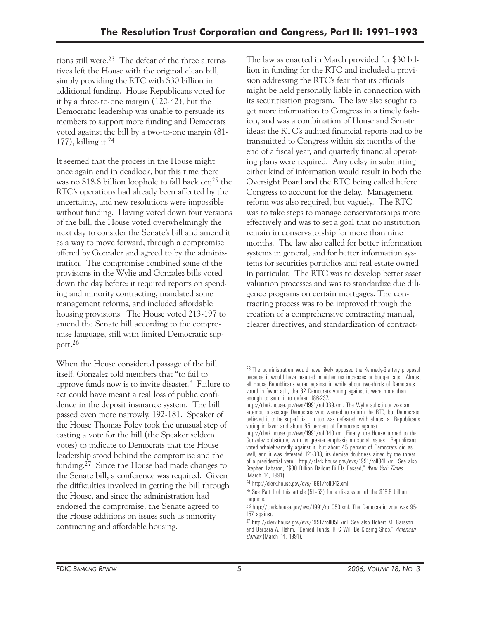tions still were.23 The defeat of the three alternatives left the House with the original clean bill, simply providing the RTC with \$30 billion in additional funding. House Republicans voted for it by a three-to-one margin (120-42), but the Democratic leadership was unable to persuade its members to support more funding and Democrats voted against the bill by a two-to-one margin (81 177), killing it.24

It seemed that the process in the House might once again end in deadlock, but this time there was no \$18.8 billion loophole to fall back on;<sup>25</sup> the RTC's operations had already been affected by the uncertainty, and new resolutions were impossible without funding. Having voted down four versions of the bill, the House voted overwhelmingly the next day to consider the Senate's bill and amend it as a way to move forward, through a compromise offered by Gonzalez and agreed to by the administration. The compromise combined some of the provisions in the Wylie and Gonzalez bills voted down the day before: it required reports on spending and minority contracting, mandated some management reforms, and included affordable housing provisions. The House voted 213-197 to amend the Senate bill according to the compromise language, still with limited Democratic support.26

When the House considered passage of the bill itself, Gonzalez told members that "to fail to approve funds now is to invite disaster." Failure to act could have meant a real loss of public confidence in the deposit insurance system. The bill passed even more narrowly, 192-181. Speaker of the House Thomas Foley took the unusual step of casting a vote for the bill (the Speaker seldom votes) to indicate to Democrats that the House leadership stood behind the compromise and the funding.27 Since the House had made changes to the Senate bill, a conference was required. Given the difficulties involved in getting the bill through the House, and since the administration had endorsed the compromise, the Senate agreed to the House additions on issues such as minority contracting and affordable housing.

The law as enacted in March provided for \$30 billion in funding for the RTC and included a provision addressing the RTC's fear that its officials might be held personally liable in connection with its securitization program. The law also sought to get more information to Congress in a timely fashion, and was a combination of House and Senate ideas: the RTC's audited financial reports had to be transmitted to Congress within six months of the end of a fiscal year, and quarterly financial operating plans were required. Any delay in submitting either kind of information would result in both the Oversight Board and the RTC being called before Congress to account for the delay. Management reform was also required, but vaguely. The RTC was to take steps to manage conservatorships more effectively and was to set a goal that no institution remain in conservatorship for more than nine months. The law also called for better information systems in general, and for better information systems for securities portfolios and real estate owned in particular. The RTC was to develop better asset valuation processes and was to standardize due diligence programs on certain mortgages. The contracting process was to be improved through the creation of a comprehensive contracting manual, clearer directives, and standardization of contract-

<sup>&</sup>lt;sup>23</sup> The administration would have likely opposed the Kennedy-Slattery proposal because it would have resulted in either tax increases or budget cuts. Almost all House Republicans voted against it, while about two-thirds of Democrats voted in favor; still, the 82 Democrats voting against it were more than enough to send it to defeat, 186-237.

http://clerk.house.gov/evs/1991/roll039.xml. The Wylie substitute was an attempt to assuage Democrats who wanted to reform the RTC, but Democrats believed it to be superficial. It too was defeated, with almost all Republicans voting in favor and about 85 percent of Democrats against.

http://clerk.house.gov/evs/1991/roll040.xml. Finally, the House turned to the Gonzalez substitute, with its greater emphasis on social issues. Republicans voted wholeheartedly against it, but about 45 percent of Democrats did as well, and it was defeated 121-303, its demise doubtless aided by the threat of a presidential veto. http://clerk.house.gov/evs/1991/roll041.xml. See also Stephen Labaton, "\$30 Billion Bailout Bill Is Passed," *New York Times*  (March 14, 1991).

<sup>&</sup>lt;sup>24</sup> http://clerk.house.gov/evs/1991/roll042.xml.<br><sup>25</sup> See Part I of this article (51-53) for a discussion of the \$18.8 billion loophole.

<sup>26</sup> http://clerk.house.gov/evs/1991/roll050.xml. The Democratic vote was 95 157 against.

<sup>27</sup> http://clerk.house.gov/evs/1991/roll051.xml. See also Robert M. Garsson and Barbara A. Rehm, "Denied Funds, RTC Will Be Closing Shop," *American Banker* (March 14, 1991).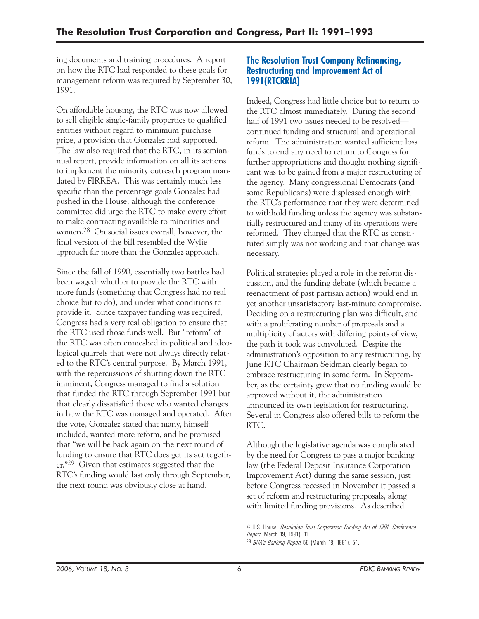ing documents and training procedures. A report on how the RTC had responded to these goals for management reform was required by September 30, 1991.

On affordable housing, the RTC was now allowed to sell eligible single-family properties to qualified entities without regard to minimum purchase price, a provision that Gonzalez had supported. The law also required that the RTC, in its semiannual report, provide information on all its actions to implement the minority outreach program mandated by FIRREA. This was certainly much less specific than the percentage goals Gonzalez had pushed in the House, although the conference committee did urge the RTC to make every effort to make contracting available to minorities and women.28 On social issues overall, however, the final version of the bill resembled the Wylie approach far more than the Gonzalez approach.

Since the fall of 1990, essentially two battles had been waged: whether to provide the RTC with more funds (something that Congress had no real choice but to do), and under what conditions to provide it. Since taxpayer funding was required, Congress had a very real obligation to ensure that the RTC used those funds well. But "reform" of the RTC was often enmeshed in political and ideological quarrels that were not always directly related to the RTC's central purpose. By March 1991, with the repercussions of shutting down the RTC imminent, Congress managed to find a solution that funded the RTC through September 1991 but that clearly dissatisfied those who wanted changes in how the RTC was managed and operated. After the vote, Gonzalez stated that many, himself included, wanted more reform, and he promised that "we will be back again on the next round of funding to ensure that RTC does get its act together."29 Given that estimates suggested that the RTC's funding would last only through September, the next round was obviously close at hand.

#### **The Resolution Trust Company Refinancing, Restructuring and Improvement Act of 1991(RTCRRIA)**

Indeed, Congress had little choice but to return to the RTC almost immediately. During the second half of 1991 two issues needed to be resolved continued funding and structural and operational reform. The administration wanted sufficient loss funds to end any need to return to Congress for further appropriations and thought nothing significant was to be gained from a major restructuring of the agency. Many congressional Democrats (and some Republicans) were displeased enough with the RTC's performance that they were determined to withhold funding unless the agency was substantially restructured and many of its operations were reformed. They charged that the RTC as constituted simply was not working and that change was necessary.

Political strategies played a role in the reform discussion, and the funding debate (which became a reenactment of past partisan action) would end in yet another unsatisfactory last-minute compromise. Deciding on a restructuring plan was difficult, and with a proliferating number of proposals and a multiplicity of actors with differing points of view, the path it took was convoluted. Despite the administration's opposition to any restructuring, by June RTC Chairman Seidman clearly began to embrace restructuring in some form. In September, as the certainty grew that no funding would be approved without it, the administration announced its own legislation for restructuring. Several in Congress also offered bills to reform the RTC.

Although the legislative agenda was complicated by the need for Congress to pass a major banking law (the Federal Deposit Insurance Corporation Improvement Act) during the same session, just before Congress recessed in November it passed a set of reform and restructuring proposals, along with limited funding provisions. As described

28 U.S. House, *Resolution Trust Corporation Funding Act of 1991, Conference Report* (March 19, 1991), 11. 29 *BNA's Banking Report* 56 (March 18, 1991), 54.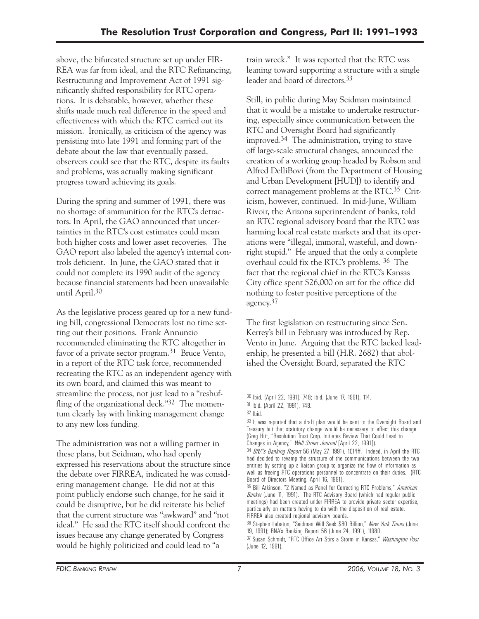above, the bifurcated structure set up under FIR-REA was far from ideal, and the RTC Refinancing, Restructuring and Improvement Act of 1991 significantly shifted responsibility for RTC operations. It is debatable, however, whether these shifts made much real difference in the speed and effectiveness with which the RTC carried out its mission. Ironically, as criticism of the agency was persisting into late 1991 and forming part of the debate about the law that eventually passed, observers could see that the RTC, despite its faults and problems, was actually making significant progress toward achieving its goals.

During the spring and summer of 1991, there was no shortage of ammunition for the RTC's detractors. In April, the GAO announced that uncertainties in the RTC's cost estimates could mean both higher costs and lower asset recoveries. The GAO report also labeled the agency's internal controls deficient. In June, the GAO stated that it could not complete its 1990 audit of the agency because financial statements had been unavailable until April.30

As the legislative process geared up for a new funding bill, congressional Democrats lost no time setting out their positions. Frank Annunzio recommended eliminating the RTC altogether in favor of a private sector program.<sup>31</sup> Bruce Vento, in a report of the RTC task force, recommended recreating the RTC as an independent agency with its own board, and claimed this was meant to streamline the process, not just lead to a "reshuffling of the organizational deck."<sup>32</sup> The momentum clearly lay with linking management change to any new loss funding.

The administration was not a willing partner in these plans, but Seidman, who had openly expressed his reservations about the structure since the debate over FIRREA, indicated he was considering management change. He did not at this point publicly endorse such change, for he said it could be disruptive, but he did reiterate his belief that the current structure was "awkward" and "not ideal." He said the RTC itself should confront the issues because any change generated by Congress would be highly politicized and could lead to "a

train wreck." It was reported that the RTC was leaning toward supporting a structure with a single leader and board of directors.33

Still, in public during May Seidman maintained that it would be a mistake to undertake restructuring, especially since communication between the RTC and Oversight Board had significantly improved.34 The administration, trying to stave off large-scale structural changes, announced the creation of a working group headed by Robson and Alfred DelliBovi (from the Department of Housing and Urban Development [HUD]) to identify and correct management problems at the RTC.35 Criticism, however, continued. In mid-June, William Rivoir, the Arizona superintendent of banks, told an RTC regional advisory board that the RTC was harming local real estate markets and that its operations were "illegal, immoral, wasteful, and downright stupid." He argued that the only a complete overhaul could fix the RTC's problems. 36 The fact that the regional chief in the RTC's Kansas City office spent \$26,000 on art for the office did nothing to foster positive perceptions of the agency.37

The first legislation on restructuring since Sen. Kerrey's bill in February was introduced by Rep. Vento in June. Arguing that the RTC lacked leadership, he presented a bill (H.R. 2682) that abolished the Oversight Board, separated the RTC

<sup>30</sup> Ibid. (April 22, 1991), 748; ibid. (June 17, 1991), 114.

<sup>31</sup> Ibid. (April 22, 1991), 748.

 $32$  Ihid.

<sup>33</sup> It was reported that a draft plan would be sent to the Oversight Board and Treasury but that statutory change would be necessary to effect this change (Greg Hitt, "Resolution Trust Corp. Initiates Review That Could Lead to Changes in Agency," *Wall Street Journal* [April 22, 1991]).

 34 *BNA's Banking Report* 56 (May 27, 1991), 1014ff. Indeed, in April the RTC had decided to revamp the structure of the communications between the two entities by setting up a liaison group to organize the flow of information as well as freeing RTC operations personnel to concentrate on their duties. (RTC Board of Directors Meeting, April 16, 1991).

<sup>35</sup> Bill Atkinson, "2 Named as Panel for Correcting RTC Problems," *American Banker* (June 11, 1991). The RTC Advisory Board (which had regular public meetings) had been created under FIRREA to provide private sector expertise, particularly on matters having to do with the disposition of real estate. FIRREA also created regional advisory boards.

<sup>36</sup> Stephen Labaton, "Seidman Will Seek \$80 Billion," *New York Times* (June 19, 1991); BNA's Banking Report 56 (June 24, 1991), 1198ff.

<sup>37</sup> Susan Schmidt, "RTC Office Art Stirs a Storm in Kansas," *Washington Post* (June 12, 1991).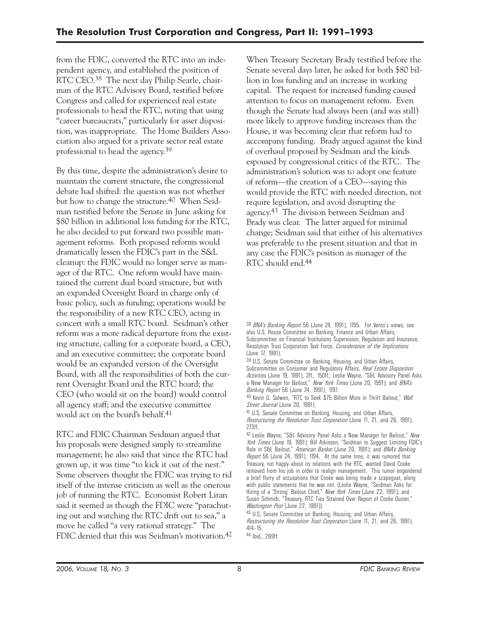from the FDIC, converted the RTC into an independent agency, and established the position of RTC CEO.38 The next day Philip Searle, chairman of the RTC Advisory Board, testified before Congress and called for experienced real estate professionals to head the RTC, noting that using "career bureaucrats," particularly for asset disposition, was inappropriate. The Home Builders Association also argued for a private sector real estate professional to head the agency.39

By this time, despite the administration's desire to maintain the current structure, the congressional debate had shifted: the question was not whether but how to change the structure.<sup>40</sup> When Seidman testified before the Senate in June asking for \$80 billion in additional loss funding for the RTC, he also decided to put forward two possible management reforms. Both proposed reforms would dramatically lessen the FDIC's part in the S&L cleanup: the FDIC would no longer serve as manager of the RTC. One reform would have maintained the current dual board structure, but with an expanded Oversight Board in charge only of basic policy, such as funding; operations would be the responsibility of a new RTC CEO, acting in concert with a small RTC board. Seidman's other reform was a more radical departure from the existing structure, calling for a corporate board, a CEO, and an executive committee; the corporate board would be an expanded version of the Oversight Board, with all the responsibilities of both the current Oversight Board and the RTC board; the CEO (who would sit on the board) would control all agency staff; and the executive committee would act on the board's behalf.41

RTC and FDIC Chairman Seidman argued that his proposals were designed simply to streamline management; he also said that since the RTC had grown up, it was time "to kick it out of the nest." Some observers thought the FDIC was trying to rid itself of the intense criticism as well as the onerous job of running the RTC. Economist Robert Litan said it seemed as though the FDIC were "parachuting out and watching the RTC drift out to sea," a move he called "a very rational strategy." The FDIC denied that this was Seidman's motivation.<sup>42</sup>

When Treasury Secretary Brady testified before the Senate several days later, he asked for both \$80 billion in loss funding and an increase in working capital. The request for increased funding caused attention to focus on management reform. Even though the Senate had always been (and was still) more likely to approve funding increases than the House, it was becoming clear that reform had to accompany funding. Brady argued against the kind of overhaul proposed by Seidman and the kinds espoused by congressional critics of the RTC. The administration's solution was to adopt one feature of reform—the creation of a CEO—saying this would provide the RTC with needed direction, not require legislation, and avoid disrupting the agency.43 The division between Seidman and Brady was clear. The latter argued for minimal change; Seidman said that either of his alternatives was preferable to the present situation and that in any case the FDIC's position as manager of the RTC should end.44

39 U.S. Senate Committee on Banking, Housing, and Urban Affairs, Subcommittee on Consumer and Regulatory Affairs, *Real Estate Disposition Activities* (June 19, 1991), 3ff., 150ff.; Leslie Wayne, "S&L Advisory Panel Asks a New Manager for Bailout," *New York Times* (June 20, 1991); and *BNA's Banking Report* 56 (June 24, 1991), 1197.

40 Kevin G. Salwen, "RTC to Seek \$75 Billion More in Thrift Bailout," *Wall Street Journal* (June 20, 1991).

41 U.S. Senate Committee on Banking, Housing, and Urban Affairs, *Restructuring the Resolution Trust Corporation* (June 11, 21, and 26, 1991), 273ff.

<sup>38</sup> *BNA's Banking Report* 56 (June 24, 1991), 1195. For Vento's views, see also U.S. House Committee on Banking, Finance and Urban Affairs, Subcommittee on Financial Institutions Supervision, Regulation and Insurance, Resolution Trust Corporation Task Force, *Consideration of the Implications*  (June 17, 1991).

<sup>42</sup> Leslie Wayne, "S&L Advisory Panel Asks a New Manager for Bailout," *New York Times* (June 19, 1991); Bill Atkinson, "Seidman to Suggest Limiting FDIC's Role in S&L Bailout," *American Banker* (June 20, 1991); and *BNA's Banking Report* 56 (June 24, 1991), 1194. At the same time, it was rumored that Treasury, not happy about its relations with the RTC, wanted David Cooke removed from his job in order to realign management. This rumor engendered a brief flurry of accusations that Cooke was being made a scapegoat, along with public statements that he was not. (Leslie Wayne, "Seidman Asks for Hiring of a 'Strong' Bailout Chief," *New York Times* [June 22, 1991]; and Susan Schmidt, "Treasury, RTC Ties Strained Over Report of Cooke Ouster," *Washington Post* [June 22, 1991]).

<sup>43</sup> U.S. Senate Committee on Banking, Housing, and Urban Affairs, *Restructuring the Resolution Trust Corporation* (June 11, 21, and 26, 1991), 414–15.

<sup>44</sup> Ibid., 269ff.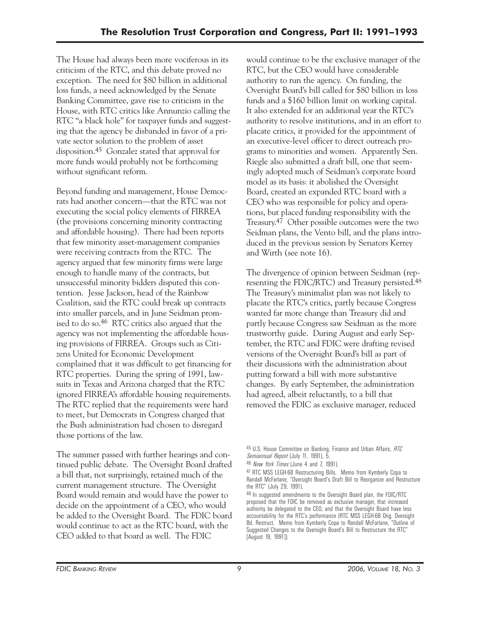The House had always been more vociferous in its criticism of the RTC, and this debate proved no exception. The need for \$80 billion in additional loss funds, a need acknowledged by the Senate Banking Committee, gave rise to criticism in the House, with RTC critics like Annunzio calling the RTC "a black hole" for taxpayer funds and suggesting that the agency be disbanded in favor of a private sector solution to the problem of asset disposition.45 Gonzalez stated that approval for more funds would probably not be forthcoming without significant reform.

Beyond funding and management, House Democrats had another concern—that the RTC was not executing the social policy elements of FIRREA (the provisions concerning minority contracting and affordable housing). There had been reports that few minority asset-management companies were receiving contracts from the RTC. The agency argued that few minority firms were large enough to handle many of the contracts, but unsuccessful minority bidders disputed this contention. Jesse Jackson, head of the Rainbow Coalition, said the RTC could break up contracts into smaller parcels, and in June Seidman promised to do so.46 RTC critics also argued that the agency was not implementing the affordable housing provisions of FIRREA. Groups such as Citizens United for Economic Development complained that it was difficult to get financing for RTC properties. During the spring of 1991, lawsuits in Texas and Arizona charged that the RTC ignored FIRREA's affordable housing requirements. The RTC replied that the requirements were hard to meet, but Democrats in Congress charged that the Bush administration had chosen to disregard those portions of the law.

The summer passed with further hearings and continued public debate. The Oversight Board drafted a bill that, not surprisingly, retained much of the current management structure. The Oversight Board would remain and would have the power to decide on the appointment of a CEO, who would be added to the Oversight Board. The FDIC board would continue to act as the RTC board, with the CEO added to that board as well. The FDIC

would continue to be the exclusive manager of the RTC, but the CEO would have considerable authority to run the agency. On funding, the Oversight Board's bill called for \$80 billion in loss funds and a \$160 billion limit on working capital. It also extended for an additional year the RTC's authority to resolve institutions, and in an effort to placate critics, it provided for the appointment of an executive-level officer to direct outreach programs to minorities and women. Apparently Sen. Riegle also submitted a draft bill, one that seemingly adopted much of Seidman's corporate board model as its basis: it abolished the Oversight Board, created an expanded RTC board with a CEO who was responsible for policy and operations, but placed funding responsibility with the Treasury.47 Other possible outcomes were the two Seidman plans, the Vento bill, and the plans introduced in the previous session by Senators Kerrey and Wirth (see note 16).

The divergence of opinion between Seidman (representing the FDIC/RTC) and Treasury persisted.48 The Treasury's minimalist plan was not likely to placate the RTC's critics, partly because Congress wanted far more change than Treasury did and partly because Congress saw Seidman as the more trustworthy guide. During August and early September, the RTC and FDIC were drafting revised versions of the Oversight Board's bill as part of their discussions with the administration about putting forward a bill with more substantive changes. By early September, the administration had agreed, albeit reluctantly, to a bill that removed the FDIC as exclusive manager, reduced

<sup>45</sup> U.S. House Committee on Banking, Finance and Urban Affairs, *RTC Semiannual Report* (July 11, 1991), 5.

<sup>46</sup> *New York Times* (June 4 and 7, 1991).

<sup>47</sup> RTC MSS LEGH-68 Restructuring Bills. Memo from Kymberly Copa to Randall McFarlane, "Oversight Board's Draft Bill to Reorganize and Restructure the RTC" (July 29, 1991).

<sup>48</sup> In suggested amendments to the Oversight Board plan, the FDIC/RTC proposed that the FDIC be removed as exclusive manager, that increased authority be delegated to the CEO, and that the Oversight Board have less accountability for the RTC's performance (RTC MSS LEGH-68 Orig. Oversight Bd. Restruct. Memo from Kymberly Copa to Randall McFarlane, "Outline of Suggested Changes to the Oversight Board's Bill to Restructure the RTC" [August 19, 1991]).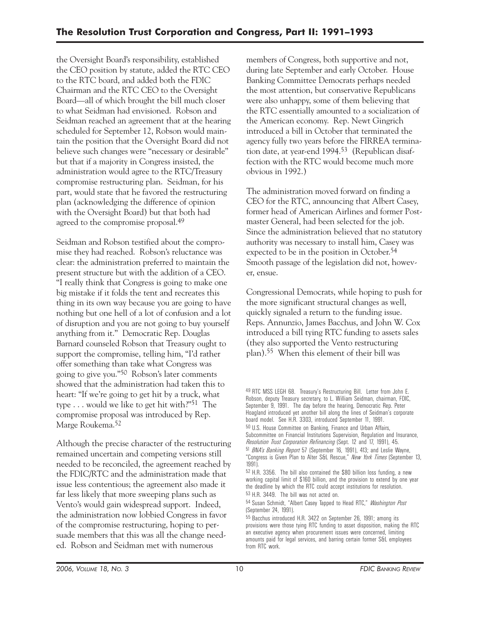the Oversight Board's responsibility, established the CEO position by statute, added the RTC CEO to the RTC board, and added both the FDIC Chairman and the RTC CEO to the Oversight Board—all of which brought the bill much closer to what Seidman had envisioned. Robson and Seidman reached an agreement that at the hearing scheduled for September 12, Robson would maintain the position that the Oversight Board did not believe such changes were "necessary or desirable" but that if a majority in Congress insisted, the administration would agree to the RTC/Treasury compromise restructuring plan. Seidman, for his part, would state that he favored the restructuring plan (acknowledging the difference of opinion with the Oversight Board) but that both had agreed to the compromise proposal.<sup>49</sup>

Seidman and Robson testified about the compromise they had reached. Robson's reluctance was clear: the administration preferred to maintain the present structure but with the addition of a CEO. "I really think that Congress is going to make one big mistake if it folds the tent and recreates this thing in its own way because you are going to have nothing but one hell of a lot of confusion and a lot of disruption and you are not going to buy yourself anything from it." Democratic Rep. Douglas Barnard counseled Robson that Treasury ought to support the compromise, telling him, "I'd rather offer something than take what Congress was going to give you."50 Robson's later comments showed that the administration had taken this to heart: "If we're going to get hit by a truck, what type . . . would we like to get hit with?"51 The compromise proposal was introduced by Rep. Marge Roukema.52

Although the precise character of the restructuring remained uncertain and competing versions still needed to be reconciled, the agreement reached by the FDIC/RTC and the administration made that issue less contentious; the agreement also made it far less likely that more sweeping plans such as Vento's would gain widespread support. Indeed, the administration now lobbied Congress in favor of the compromise restructuring, hoping to persuade members that this was all the change needed. Robson and Seidman met with numerous

members of Congress, both supportive and not, during late September and early October. House Banking Committee Democrats perhaps needed the most attention, but conservative Republicans were also unhappy, some of them believing that the RTC essentially amounted to a socialization of the American economy. Rep. Newt Gingrich introduced a bill in October that terminated the agency fully two years before the FIRREA termination date, at year-end 1994.53 (Republican disaffection with the RTC would become much more obvious in 1992.)

The administration moved forward on finding a CEO for the RTC, announcing that Albert Casey, former head of American Airlines and former Postmaster General, had been selected for the job. Since the administration believed that no statutory authority was necessary to install him, Casey was expected to be in the position in October.54 Smooth passage of the legislation did not, however, ensue.

Congressional Democrats, while hoping to push for the more significant structural changes as well, quickly signaled a return to the funding issue. Reps. Annunzio, James Bacchus, and John W. Cox introduced a bill tying RTC funding to assets sales (they also supported the Vento restructuring plan).55 When this element of their bill was

<sup>49</sup> RTC MSS LEGH 68. Treasury's Restructuring Bill. Letter from John E. Robson, deputy Treasury secretary, to L. William Seidman, chairman, FDIC, September 9, 1991. The day before the hearing, Democratic Rep. Peter Hoagland introduced yet another bill along the lines of Seidman's corporate board model. See H.R. 3303, introduced September 11, 1991.

<sup>50</sup> U.S. House Committee on Banking, Finance and Urban Affairs, Subcommittee on Financial Institutions Supervision, Regulation and Insurance,

*Resolution Trust Corporation Refinancing* (Sept. 12 and 17, 1991), 45.

<sup>51</sup> *BNA's Banking Report* 57 (September 16, 1991), 413; and Leslie Wayne, "Congress is Given Plan to Alter S&L Rescue," *New York Times* (September 13, 1991).

<sup>52</sup> H.R. 3356. The bill also contained the \$80 billion loss funding, a new working capital limit of \$160 billion, and the provision to extend by one year the deadline by which the RTC could accept institutions for resolution. 53 H.R. 3449. The bill was not acted on.

<sup>54</sup> Susan Schmidt, "Albert Casey Tapped to Head RTC," *Washington Post*  (September 24, 1991).

<sup>55</sup> Bacchus introduced H.R. 3422 on September 26, 1991; among its provisions were those tying RTC funding to asset disposition, making the RTC an executive agency when procurement issues were concerned, limiting amounts paid for legal services, and barring certain former S&L employees from RTC work.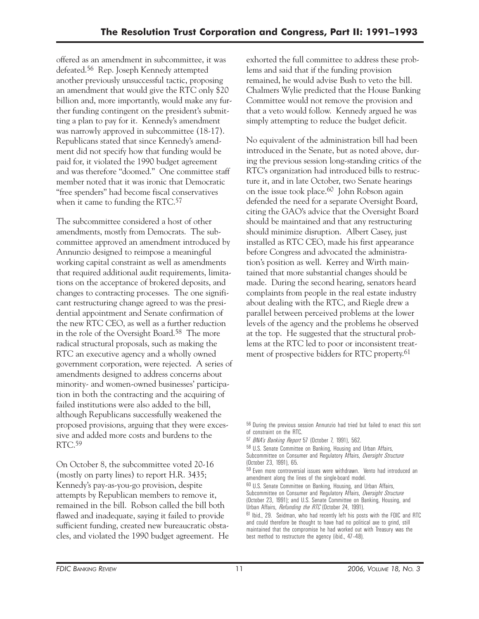offered as an amendment in subcommittee, it was defeated.56 Rep. Joseph Kennedy attempted another previously unsuccessful tactic, proposing an amendment that would give the RTC only \$20 billion and, more importantly, would make any further funding contingent on the president's submitting a plan to pay for it. Kennedy's amendment was narrowly approved in subcommittee (18-17). Republicans stated that since Kennedy's amendment did not specify how that funding would be paid for, it violated the 1990 budget agreement and was therefore "doomed." One committee staff member noted that it was ironic that Democratic "free spenders" had become fiscal conservatives when it came to funding the RTC.<sup>57</sup>

The subcommittee considered a host of other amendments, mostly from Democrats. The subcommittee approved an amendment introduced by Annunzio designed to reimpose a meaningful working capital constraint as well as amendments that required additional audit requirements, limitations on the acceptance of brokered deposits, and changes to contracting processes. The one significant restructuring change agreed to was the presidential appointment and Senate confirmation of the new RTC CEO, as well as a further reduction in the role of the Oversight Board.58 The more radical structural proposals, such as making the RTC an executive agency and a wholly owned government corporation, were rejected. A series of amendments designed to address concerns about minority- and women-owned businesses' participation in both the contracting and the acquiring of failed institutions were also added to the bill, although Republicans successfully weakened the proposed provisions, arguing that they were excessive and added more costs and burdens to the RTC.59

On October 8, the subcommittee voted 20-16 (mostly on party lines) to report H.R. 3435; Kennedy's pay-as-you-go provision, despite attempts by Republican members to remove it, remained in the bill. Robson called the bill both flawed and inadequate, saying it failed to provide sufficient funding, created new bureaucratic obstacles, and violated the 1990 budget agreement. He exhorted the full committee to address these problems and said that if the funding provision remained, he would advise Bush to veto the bill. Chalmers Wylie predicted that the House Banking Committee would not remove the provision and that a veto would follow. Kennedy argued he was simply attempting to reduce the budget deficit.

No equivalent of the administration bill had been introduced in the Senate, but as noted above, during the previous session long-standing critics of the RTC's organization had introduced bills to restructure it, and in late October, two Senate hearings on the issue took place.60 John Robson again defended the need for a separate Oversight Board, citing the GAO's advice that the Oversight Board should be maintained and that any restructuring should minimize disruption. Albert Casey, just installed as RTC CEO, made his first appearance before Congress and advocated the administration's position as well. Kerrey and Wirth maintained that more substantial changes should be made. During the second hearing, senators heard complaints from people in the real estate industry about dealing with the RTC, and Riegle drew a parallel between perceived problems at the lower levels of the agency and the problems he observed at the top. He suggested that the structural problems at the RTC led to poor or inconsistent treatment of prospective bidders for RTC property.<sup>61</sup>

<sup>56</sup> During the previous session Annunzio had tried but failed to enact this sort of constraint on the RTC.

<sup>57</sup> *BNA's Banking Report* 57 (October 7, 1991), 562.

<sup>58</sup> U.S. Senate Committee on Banking, Housing and Urban Affairs,

Subcommittee on Consumer and Regulatory Affairs, *Oversight Structure* (October 23, 1991), 65.

 59 Even more controversial issues were withdrawn. Vento had introduced an amendment along the lines of the single-board model.

<sup>60</sup> U.S. Senate Committee on Banking, Housing, and Urban Affairs,

Subcommittee on Consumer and Regulatory Affairs, *Oversight Structure* (October 23, 1991); and U.S. Senate Committee on Banking, Housing, and Urban Affairs, *Refunding the RTC* (October 24, 1991).

<sup>61</sup> Ibid., 29. Seidman, who had recently left his posts with the FDIC and RTC and could therefore be thought to have had no political axe to grind, still maintained that the compromise he had worked out with Treasury was the best method to restructure the agency (ibid., 47–48).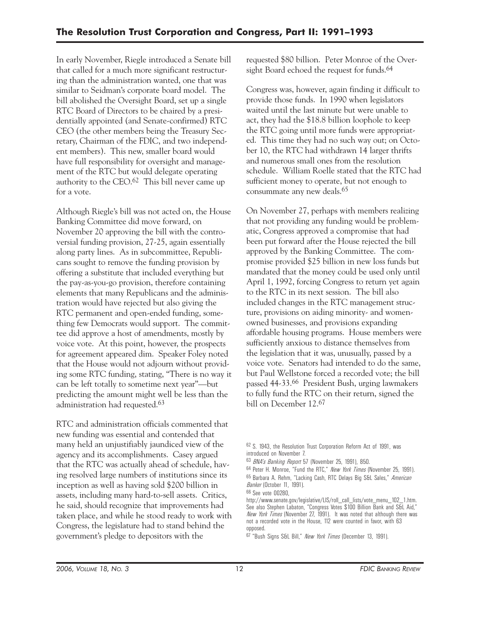In early November, Riegle introduced a Senate bill that called for a much more significant restructuring than the administration wanted, one that was similar to Seidman's corporate board model. The bill abolished the Oversight Board, set up a single RTC Board of Directors to be chaired by a presidentially appointed (and Senate-confirmed) RTC CEO (the other members being the Treasury Secretary, Chairman of the FDIC, and two independent members). This new, smaller board would have full responsibility for oversight and management of the RTC but would delegate operating authority to the CEO.62 This bill never came up for a vote.

Although Riegle's bill was not acted on, the House Banking Committee did move forward, on November 20 approving the bill with the controversial funding provision, 27-25, again essentially along party lines. As in subcommittee, Republicans sought to remove the funding provision by offering a substitute that included everything but the pay-as-you-go provision, therefore containing elements that many Republicans and the administration would have rejected but also giving the RTC permanent and open-ended funding, something few Democrats would support. The committee did approve a host of amendments, mostly by voice vote. At this point, however, the prospects for agreement appeared dim. Speaker Foley noted that the House would not adjourn without providing some RTC funding, stating, "There is no way it can be left totally to sometime next year"—but predicting the amount might well be less than the administration had requested.63

RTC and administration officials commented that new funding was essential and contended that many held an unjustifiably jaundiced view of the agency and its accomplishments. Casey argued that the RTC was actually ahead of schedule, having resolved large numbers of institutions since its inception as well as having sold \$200 billion in assets, including many hard-to-sell assets. Critics, he said, should recognize that improvements had taken place, and while he stood ready to work with Congress, the legislature had to stand behind the government's pledge to depositors with the

requested \$80 billion. Peter Monroe of the Oversight Board echoed the request for funds.<sup>64</sup>

Congress was, however, again finding it difficult to provide those funds. In 1990 when legislators waited until the last minute but were unable to act, they had the \$18.8 billion loophole to keep the RTC going until more funds were appropriated. This time they had no such way out; on October 10, the RTC had withdrawn 14 larger thrifts and numerous small ones from the resolution schedule. William Roelle stated that the RTC had sufficient money to operate, but not enough to consummate any new deals.65

On November 27, perhaps with members realizing that not providing any funding would be problematic, Congress approved a compromise that had been put forward after the House rejected the bill approved by the Banking Committee. The compromise provided \$25 billion in new loss funds but mandated that the money could be used only until April 1, 1992, forcing Congress to return yet again to the RTC in its next session. The bill also included changes in the RTC management structure, provisions on aiding minority- and womenowned businesses, and provisions expanding affordable housing programs. House members were sufficiently anxious to distance themselves from the legislation that it was, unusually, passed by a voice vote. Senators had intended to do the same, but Paul Wellstone forced a recorded vote; the bill passed 44-33.66 President Bush, urging lawmakers to fully fund the RTC on their return, signed the bill on December 12.67

<sup>62</sup> S. 1943, the Resolution Trust Corporation Reform Act of 1991, was introduced on November 7.

<sup>63</sup> *BNA's Banking Report* 57 (November 25, 1991), 850.

<sup>64</sup> Peter H. Monroe, "Fund the RTC," *New York Times* (November 25, 1991). 65 Barbara A. Rehm, "Lacking Cash, RTC Delays Big S&L Sales," *American Banker* (October 11, 1991).

<sup>66</sup> See vote 00280,

http://www.senate.gov/legislative/LIS/roll\_call\_lists/vote\_menu\_102\_1.htm. See also Stephen Labaton, "Congress Votes \$100 Billion Bank and S&L Aid," *New York Times* (November 27, 1991). It was noted that although there was not a recorded vote in the House, 112 were counted in favor, with 63 opposed.

<sup>67 &</sup>quot;Bush Signs S&L Bill," *New York Times* (December 13, 1991).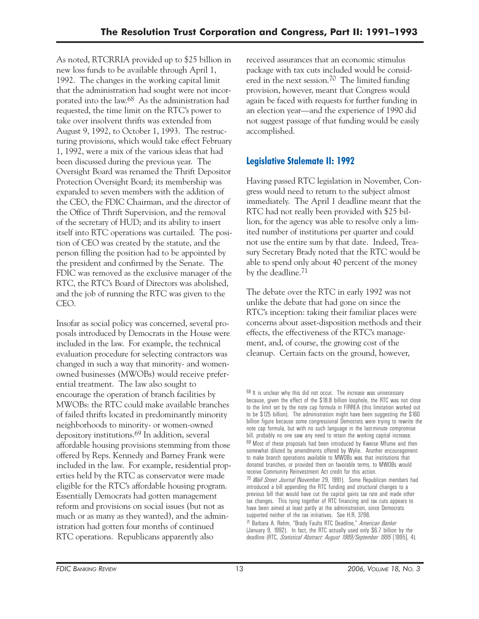As noted, RTCRRIA provided up to \$25 billion in new loss funds to be available through April 1, 1992. The changes in the working capital limit that the administration had sought were not incorporated into the law.68 As the administration had requested, the time limit on the RTC's power to take over insolvent thrifts was extended from August 9, 1992, to October 1, 1993. The restructuring provisions, which would take effect February 1, 1992, were a mix of the various ideas that had been discussed during the previous year. The Oversight Board was renamed the Thrift Depositor Protection Oversight Board; its membership was expanded to seven members with the addition of the CEO, the FDIC Chairman, and the director of the Office of Thrift Supervision, and the removal of the secretary of HUD; and its ability to insert itself into RTC operations was curtailed. The position of CEO was created by the statute, and the person filling the position had to be appointed by the president and confirmed by the Senate. The FDIC was removed as the exclusive manager of the RTC, the RTC's Board of Directors was abolished, and the job of running the RTC was given to the CEO.

Insofar as social policy was concerned, several proposals introduced by Democrats in the House were included in the law. For example, the technical evaluation procedure for selecting contractors was changed in such a way that minority- and womenowned businesses (MWOBs) would receive preferential treatment. The law also sought to encourage the operation of branch facilities by MWOBs: the RTC could make available branches of failed thrifts located in predominantly minority neighborhoods to minority- or women-owned depository institutions.69 In addition, several affordable housing provisions stemming from those offered by Reps. Kennedy and Barney Frank were included in the law. For example, residential properties held by the RTC as conservator were made eligible for the RTC's affordable housing program. Essentially Democrats had gotten management reform and provisions on social issues (but not as much or as many as they wanted), and the administration had gotten four months of continued RTC operations. Republicans apparently also

received assurances that an economic stimulus package with tax cuts included would be considered in the next session.70 The limited funding provision, however, meant that Congress would again be faced with requests for further funding in an election year—and the experience of 1990 did not suggest passage of that funding would be easily accomplished.

### **Legislative Stalemate II: 1992**

Having passed RTC legislation in November, Congress would need to return to the subject almost immediately. The April 1 deadline meant that the RTC had not really been provided with \$25 billion, for the agency was able to resolve only a limited number of institutions per quarter and could not use the entire sum by that date. Indeed, Treasury Secretary Brady noted that the RTC would be able to spend only about 40 percent of the money by the deadline.71

The debate over the RTC in early 1992 was not unlike the debate that had gone on since the RTC's inception: taking their familiar places were concerns about asset-disposition methods and their effects, the effectiveness of the RTC's management, and, of course, the growing cost of the cleanup. Certain facts on the ground, however,

 $68$  It is unclear why this did not occur. The increase was unnecessary because, given the effect of the \$18.8 billion loophole, the RTC was not close to the limit set by the note cap formula in FIRREA (this limitation worked out to be \$125 billion). The administration might have been suggesting the \$160 billion figure because some congressional Democrats were trying to rewrite the note cap formula, but with no such language in the last-minute compromise bill, probably no one saw any need to retain the working capital increase. 69 Most of these proposals had been introduced by Kweise Mfume and then somewhat diluted by amendments offered by Wylie. Another encouragement to make branch operations available to MWOBs was that institutions that donated branches, or provided them on favorable terms, to MWOBs would receive Community Reinvestment Act credit for this action. 70 *Wall Street Journal* (November 29, 1991). Some Republican members had introduced a bill appending the RTC funding and structural changes to a previous bill that would have cut the capital gains tax rate and made other tax changes. This tying together of RTC financing and tax cuts appears to have been aimed at least partly at the administration, since Democrats

supported neither of the tax initiatives. See H.R. 3798. 71 Barbara A. Rehm, "Brady Faults RTC Deadline," *American Banker*  (January 9, 1992). In fact, the RTC actually used only \$6.7 billion by the deadline (RTC, *Statistical Abstract: August 1989/September 1995* [1995], 4).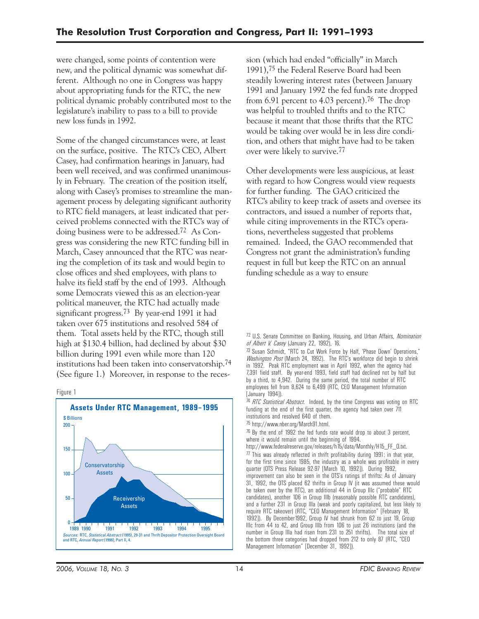were changed, some points of contention were new, and the political dynamic was somewhat different. Although no one in Congress was happy about appropriating funds for the RTC, the new political dynamic probably contributed most to the legislature's inability to pass to a bill to provide new loss funds in 1992.

Some of the changed circumstances were, at least on the surface, positive. The RTC's CEO, Albert Casey, had confirmation hearings in January, had been well received, and was confirmed unanimously in February. The creation of the position itself, along with Casey's promises to streamline the management process by delegating significant authority to RTC field managers, at least indicated that perceived problems connected with the RTC's way of doing business were to be addressed.72 As Congress was considering the new RTC funding bill in March, Casey announced that the RTC was nearing the completion of its task and would begin to close offices and shed employees, with plans to halve its field staff by the end of 1993. Although some Democrats viewed this as an election-year political maneuver, the RTC had actually made significant progress.73 By year-end 1991 it had taken over 675 institutions and resolved 584 of them. Total assets held by the RTC, though still high at \$130.4 billion, had declined by about \$30 billion during 1991 even while more than 120 institutions had been taken into conservatorship.74 (See figure 1.) Moreover, in response to the reces-





sion (which had ended "officially" in March 1991),75 the Federal Reserve Board had been steadily lowering interest rates (between January 1991 and January 1992 the fed funds rate dropped from  $6.91$  percent to  $4.03$  percent).<sup>76</sup> The drop was helpful to troubled thrifts and to the RTC because it meant that those thrifts that the RTC would be taking over would be in less dire condition, and others that might have had to be taken over were likely to survive.77

Other developments were less auspicious, at least with regard to how Congress would view requests for further funding. The GAO criticized the RTC's ability to keep track of assets and oversee its contractors, and issued a number of reports that, while citing improvements in the RTC's operations, nevertheless suggested that problems remained. Indeed, the GAO recommended that Congress not grant the administration's funding request in full but keep the RTC on an annual funding schedule as a way to ensure

 7,391 field staff. By year-end 1993, field staff had declined not by half but 73 Susan Schmidt, "RTC to Cut Work Force by Half, 'Phase Down' Operations," *Washington Post* (March 24, 1992). The RTC's workforce did begin to shrink in 1992. Peak RTC employment was in April 1992, when the agency had by a third, to 4,942. During the same period, the total number of RTC employees fell from 8,624 to 6,499 (RTC, CEO Management Information [January 1994]).

74 *RTC Statistical Abstract.* Indeed, by the time Congress was voting on RTC funding at the end of the first quarter, the agency had taken over 711 institutions and resolved 640 of them.

75 http://www.nber.org/March91.html.

<sup>76</sup> By the end of 1992 the fed funds rate would drop to about 3 percent, where it would remain until the beginning of 1994.

http://www.federalreserve.gov/releases/h15/data/Monthly/H15\_FF\_O.txt.  $77$  This was already reflected in thrift profitability during 1991: in that year, for the first time since 1985, the industry as a whole was profitable in every quarter (OTS Press Release 92-97 [March 10, 1992]). During 1992, improvement can also be seen in the OTS's ratings of thrifts: As of January 31, 1992, the OTS placed 62 thrifts in Group IV (it was assumed these would be taken over by the RTC), an additional 44 in Group IIIc ("probable" RTC candidates), another 106 in Group IIIb (reasonably possible RTC candidates), and a further 231 in Group IIIa (weak and poorly capitalized, but less likely to require RTC takeover) (RTC, "CEO Management Information" [February 18, 1992]). By December1992, Group IV had shrunk from 62 to just 19, Group IIIc from 44 to 42, and Group IIIb from 106 to just 26 institutions (and the number in Group IIIa had risen from 231 to 251 thrifts). The total size of the bottom three categories had dropped from 212 to only 87 (RTC, "CEO Management Information" [December 31, 1992]).

<sup>72</sup> U.S. Senate Committee on Banking, Housing, and Urban Affairs, *Nomination of Albert V. Casey* (January 22, 1992), 16.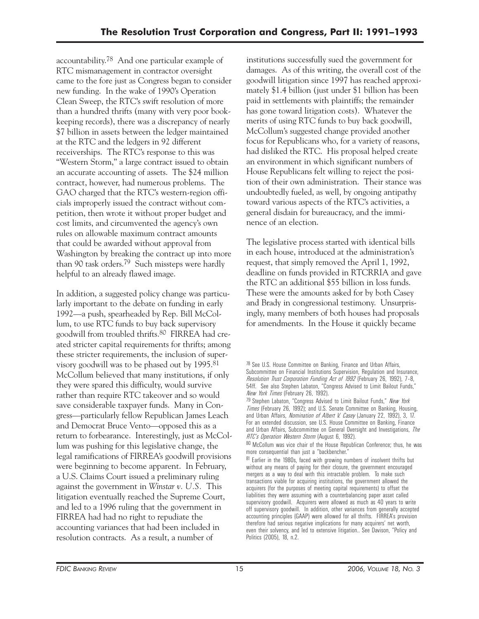accountability.78 And one particular example of RTC mismanagement in contractor oversight came to the fore just as Congress began to consider new funding. In the wake of 1990's Operation Clean Sweep, the RTC's swift resolution of more than a hundred thrifts (many with very poor bookkeeping records), there was a discrepancy of nearly \$7 billion in assets between the ledger maintained at the RTC and the ledgers in 92 different receiverships. The RTC's response to this was "Western Storm," a large contract issued to obtain an accurate accounting of assets. The \$24 million contract, however, had numerous problems. The GAO charged that the RTC's western-region officials improperly issued the contract without competition, then wrote it without proper budget and cost limits, and circumvented the agency's own rules on allowable maximum contract amounts that could be awarded without approval from Washington by breaking the contract up into more than 90 task orders.79 Such missteps were hardly helpful to an already flawed image.

In addition, a suggested policy change was particularly important to the debate on funding in early 1992—a push, spearheaded by Rep. Bill McCollum, to use RTC funds to buy back supervisory goodwill from troubled thrifts.80 FIRREA had created stricter capital requirements for thrifts; among these stricter requirements, the inclusion of supervisory goodwill was to be phased out by 1995.81 McCollum believed that many institutions, if only they were spared this difficulty, would survive rather than require RTC takeover and so would save considerable taxpayer funds. Many in Congress—particularly fellow Republican James Leach and Democrat Bruce Vento—opposed this as a return to forbearance. Interestingly, just as McCollum was pushing for this legislative change, the legal ramifications of FIRREA's goodwill provisions were beginning to become apparent. In February, a U.S. Claims Court issued a preliminary ruling against the government in *Winstar v. U.S.* This litigation eventually reached the Supreme Court, and led to a 1996 ruling that the government in FIRREA had had no right to repudiate the accounting variances that had been included in resolution contracts. As a result, a number of

institutions successfully sued the government for damages. As of this writing, the overall cost of the goodwill litigation since 1997 has reached approximately \$1.4 billion (just under \$1 billion has been paid in settlements with plaintiffs; the remainder has gone toward litigation costs). Whatever the merits of using RTC funds to buy back goodwill, McCollum's suggested change provided another focus for Republicans who, for a variety of reasons, had disliked the RTC. His proposal helped create an environment in which significant numbers of House Republicans felt willing to reject the position of their own administration. Their stance was undoubtedly fueled, as well, by ongoing antipathy toward various aspects of the RTC's activities, a general disdain for bureaucracy, and the imminence of an election.

The legislative process started with identical bills in each house, introduced at the administration's request, that simply removed the April 1, 1992, deadline on funds provided in RTCRRIA and gave the RTC an additional \$55 billion in loss funds. These were the amounts asked for by both Casey and Brady in congressional testimony. Unsurprisingly, many members of both houses had proposals for amendments. In the House it quickly became

<sup>78</sup> See U.S. House Committee on Banking, Finance and Urban Affairs, Subcommittee on Financial Institutions Supervision, Regulation and Insurance, *Resolution Trust Corporation Funding Act of 1992* (February 26, 1992), 7–8, 54ff. See also Stephen Labaton, "Congress Advised to Limit Bailout Funds," *New York Times* (February 26, 1992).

<sup>79</sup> Stephen Labaton, "Congress Advised to Limit Bailout Funds," *New York Times* (February 26, 1992); and U.S. Senate Committee on Banking, Housing, and Urban Affairs, *Nomination of Albert V. Casey* (January 22, 1992), 3, 17. For an extended discussion, see U.S. House Committee on Banking, Finance and Urban Affairs, Subcommittee on General Oversight and Investigations, *The RTC's Operation Western Storm* (August 6, 1992).

<sup>80</sup> McCollum was vice chair of the House Republican Conference; thus, he was more consequential than just a "backbencher."

 mergers as a way to deal with this intractable problem. To make such 81 Earlier in the 1980s, faced with growing numbers of insolvent thrifts but without any means of paying for their closure, the government encouraged transactions viable for acquiring institutions, the government allowed the acquirers (for the purposes of meeting capital requirements) to offset the liabilities they were assuming with a counterbalancing paper asset called supervisory goodwill. Acquirers were allowed as much as 40 years to write off supervisory goodwill. In addition, other variances from generally accepted accounting principles (GAAP) were allowed for all thrifts. FIRREA's provision therefore had serious negative implications for many acquirers' net worth, even their solvency, and led to extensive litigation.. See Davison, "Policy and Politics (2005), 18, n.2.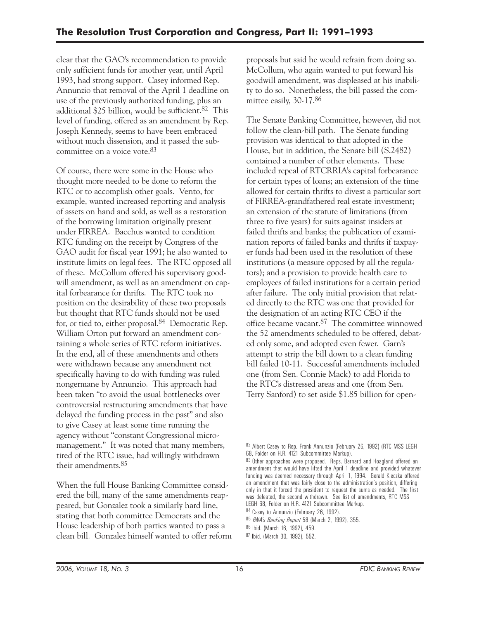clear that the GAO's recommendation to provide only sufficient funds for another year, until April 1993, had strong support. Casey informed Rep. Annunzio that removal of the April 1 deadline on use of the previously authorized funding, plus an additional  $$25$  billion, would be sufficient.<sup>82</sup> This level of funding, offered as an amendment by Rep. Joseph Kennedy, seems to have been embraced without much dissension, and it passed the subcommittee on a voice vote.83

Of course, there were some in the House who thought more needed to be done to reform the RTC or to accomplish other goals. Vento, for example, wanted increased reporting and analysis of assets on hand and sold, as well as a restoration of the borrowing limitation originally present under FIRREA. Bacchus wanted to condition RTC funding on the receipt by Congress of the GAO audit for fiscal year 1991; he also wanted to institute limits on legal fees. The RTC opposed all of these. McCollum offered his supervisory goodwill amendment, as well as an amendment on capital forbearance for thrifts. The RTC took no position on the desirability of these two proposals but thought that RTC funds should not be used for, or tied to, either proposal.84 Democratic Rep. William Orton put forward an amendment containing a whole series of RTC reform initiatives. In the end, all of these amendments and others were withdrawn because any amendment not specifically having to do with funding was ruled nongermane by Annunzio. This approach had been taken "to avoid the usual bottlenecks over controversial restructuring amendments that have delayed the funding process in the past" and also to give Casey at least some time running the agency without "constant Congressional micromanagement." It was noted that many members, tired of the RTC issue, had willingly withdrawn their amendments.85

When the full House Banking Committee considered the bill, many of the same amendments reappeared, but Gonzalez took a similarly hard line, stating that both committee Democrats and the House leadership of both parties wanted to pass a clean bill. Gonzalez himself wanted to offer reform proposals but said he would refrain from doing so. McCollum, who again wanted to put forward his goodwill amendment, was displeased at his inability to do so. Nonetheless, the bill passed the committee easily, 30-17.86

The Senate Banking Committee, however, did not follow the clean-bill path. The Senate funding provision was identical to that adopted in the House, but in addition, the Senate bill (S.2482) contained a number of other elements. These included repeal of RTCRRIA's capital forbearance for certain types of loans; an extension of the time allowed for certain thrifts to divest a particular sort of FIRREA-grandfathered real estate investment; an extension of the statute of limitations (from three to five years) for suits against insiders at failed thrifts and banks; the publication of examination reports of failed banks and thrifts if taxpayer funds had been used in the resolution of these institutions (a measure opposed by all the regulators); and a provision to provide health care to employees of failed institutions for a certain period after failure. The only initial provision that related directly to the RTC was one that provided for the designation of an acting RTC CEO if the office became vacant.87 The committee winnowed the 52 amendments scheduled to be offered, debated only some, and adopted even fewer. Garn's attempt to strip the bill down to a clean funding bill failed 10-11. Successful amendments included one (from Sen. Connie Mack) to add Florida to the RTC's distressed areas and one (from Sen. Terry Sanford) to set aside \$1.85 billion for open-

<sup>82</sup> Albert Casey to Rep. Frank Annunzio (February 26, 1992) (RTC MSS LEGH 68, Folder on H.R. 4121 Subcommittee Markup).

<sup>83</sup> Other approaches were proposed. Reps. Barnard and Hoagland offered an amendment that would have lifted the April 1 deadline and provided whatever funding was deemed necessary through April 1, 1994. Gerald Kleczka offered an amendment that was fairly close to the administration's position, differing only in that it forced the president to request the sums as needed. The first was defeated, the second withdrawn. See list of amendments, RTC MSS LEGH 68, Folder on H.R. 4121 Subcommittee Markup.

<sup>84</sup> Casey to Annunzio (February 26, 1992).

<sup>85</sup> *BNA's Banking Report* 58 (March 2, 1992), 355.

<sup>86</sup> Ibid. (March 16, 1992), 459.

<sup>87</sup> Ibid. (March 30, 1992), 552.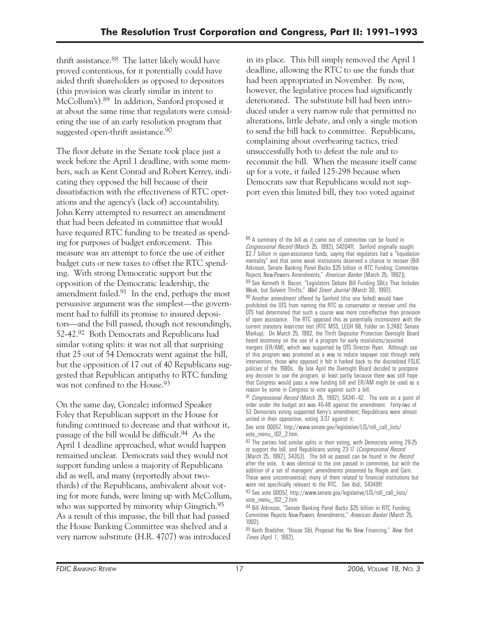thrift assistance.88 The latter likely would have proved contentious, for it potentially could have aided thrift shareholders as opposed to depositors (this provision was clearly similar in intent to McCollum's).89 In addition, Sanford proposed it at about the same time that regulators were considering the use of an early resolution program that suggested open-thrift assistance.<sup>90</sup>

The floor debate in the Senate took place just a week before the April 1 deadline, with some members, such as Kent Conrad and Robert Kerrey, indicating they opposed the bill because of their dissatisfaction with the effectiveness of RTC operations and the agency's (lack of) accountability. John Kerry attempted to resurrect an amendment that had been defeated in committee that would have required RTC funding to be treated as spending for purposes of budget enforcement. This measure was an attempt to force the use of either budget cuts or new taxes to offset the RTC spending. With strong Democratic support but the opposition of the Democratic leadership, the amendment failed.91 In the end, perhaps the most persuasive argument was the simplest—the government had to fulfill its promise to insured depositors—and the bill passed, though not resoundingly, 52-42.92 Both Democrats and Republicans had similar voting splits: it was not all that surprising that 25 out of 54 Democrats went against the bill, but the opposition of 17 out of 40 Republicans suggested that Republican antipathy to RTC funding was not confined to the House.93

On the same day, Gonzalez informed Speaker Foley that Republican support in the House for funding continued to decrease and that without it, passage of the bill would be difficult.94 As the April 1 deadline approached, what would happen remained unclear. Democrats said they would not support funding unless a majority of Republicans did as well, and many (reportedly about twothirds) of the Republicans, ambivalent about voting for more funds, were lining up with McCollum, who was supported by minority whip Gingrich.<sup>95</sup> As a result of this impasse, the bill that had passed the House Banking Committee was shelved and a very narrow substitute (H.R. 4707) was introduced

in its place. This bill simply removed the April 1 deadline, allowing the RTC to use the funds that had been appropriated in November. By now, however, the legislative process had significantly deteriorated. The substitute bill had been introduced under a very narrow rule that permitted no alterations, little debate, and only a single motion to send the bill back to committee. Republicans, complaining about overbearing tactics, tried unsuccessfully both to defeat the rule and to recommit the bill. When the measure itself came up for a vote, it failed 125-298 because when Democrats saw that Republicans would not support even this limited bill, they too voted against

 *Congressional Record* (March 25, 1992), S4204ff. Sanford originally sought of this program was promoted as a way to reduce taxpayer cost through early 88 A summary of the bill as it came out of committee can be found in \$2.7 billion in open-assistance funds, saying that regulators had a "liquidation mentality" and that some weak institutions deserved a chance to recover (Bill Atkinson, Senate Banking Panel Backs \$25 billion in RTC Funding; Committee Rejects New-Powers Amendments," *American Banker* [March 25, 1992]). 89 See Kenneth H. Bacon, "Legislators Debate Bill Funding S&Ls That Includes Weak, but Solvent Thrifts," *Wall Street Journal* (March 30, 1992). 90 Another amendment offered by Sanford (this one failed) would have prohibited the OTS from naming the RTC as conservator or receiver until the OTS had determined that such a course was more cost-effective than provision of open assistance. The RTC opposed this as potentially inconsistent with the current statutory least-cost test (RTC MSS, LEGH 68, Folder on S.2482 Senate Markup). On March 25, 1992, the Thrift Depositor Protection Oversight Board heard testimony on the use of a program for early resolutions/assisted mergers (ER/AM), which was supported by OTS Director Ryan. Although use intervention, those who opposed it felt it harked back to the discredited FSLIC policies of the 1980s. By late April the Oversight Board decided to postpone any decision to use the program, at least partly because there was still hope that Congress would pass a new funding bill and ER/AM might be used as a reason by some in Congress to vote against such a bill.

91 *Congressional Record* (March 25, 1992), S4341–42. The vote on a point of order under the budget act was 45-48 against the amendment. Forty-two of 53 Democrats voting supported Kerry's amendment; Republicans were almost united in their opposition, voting 3-37 against it.

See vote 00057, http://www.senate.gov/legislative/LIS/roll\_call\_lists/ vote\_menu\_102\_2.htm.

92 The parties had similar splits in their voting, with Democrats voting 29-25 to support the bill, and Republicans voting 23-17 (*Congressional Record*  [March 25, 1992], S4353). The bill as passed can be found in the *Record*  after the vote. It was identical to the one passed in committee, but with the addition of a set of managers' amendments presented by Riegle and Garn. These were uncontroversial; many of them related to financial institutions but were not specifically relevant to the RTC. See ibid., S4349ff.

93 See vote 00057, http://www.senate.gov/legislative/LIS/roll\_call\_lists/ vote\_menu\_102\_2.htm

94 Bill Atkinson, "Senate Banking Panel Backs \$25 billion in RTC Funding; Committee Rejects New-Powers Amendments," *American Banker* (March 25, 1992).

95 Keith Bradsher, "House S&L Proposal Has No New Financing," *New York Times* (April 1, 1992).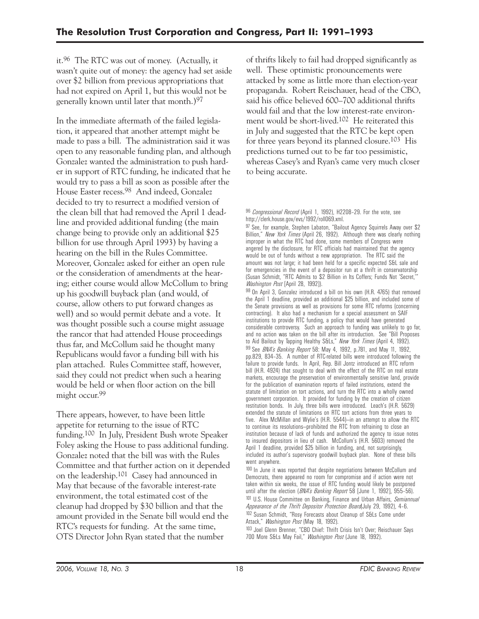it.96 The RTC was out of money. (Actually, it wasn't quite out of money: the agency had set aside over \$2 billion from previous appropriations that had not expired on April 1, but this would not be generally known until later that month.)97

In the immediate aftermath of the failed legislation, it appeared that another attempt might be made to pass a bill. The administration said it was open to any reasonable funding plan, and although Gonzalez wanted the administration to push harder in support of RTC funding, he indicated that he would try to pass a bill as soon as possible after the House Easter recess.98 And indeed, Gonzalez decided to try to resurrect a modified version of the clean bill that had removed the April 1 deadline and provided additional funding (the main change being to provide only an additional \$25 billion for use through April 1993) by having a hearing on the bill in the Rules Committee. Moreover, Gonzalez asked for either an open rule or the consideration of amendments at the hearing; either course would allow McCollum to bring up his goodwill buyback plan (and would, of course, allow others to put forward changes as well) and so would permit debate and a vote. It was thought possible such a course might assuage the rancor that had attended House proceedings thus far, and McCollum said he thought many Republicans would favor a funding bill with his plan attached. Rules Committee staff, however, said they could not predict when such a hearing would be held or when floor action on the bill might occur.99

There appears, however, to have been little appetite for returning to the issue of RTC funding.100 In July, President Bush wrote Speaker Foley asking the House to pass additional funding. Gonzalez noted that the bill was with the Rules Committee and that further action on it depended on the leadership.101 Casey had announced in May that because of the favorable interest-rate environment, the total estimated cost of the cleanup had dropped by \$30 billion and that the amount provided in the Senate bill would end the RTC's requests for funding. At the same time, OTS Director John Ryan stated that the number

of thrifts likely to fail had dropped significantly as well. These optimistic pronouncements were attacked by some as little more than election-year propaganda. Robert Reischauer, head of the CBO, said his office believed 600–700 additional thrifts would fail and that the low interest-rate environment would be short-lived.102 He reiterated this in July and suggested that the RTC be kept open for three years beyond its planned closure.103 His predictions turned out to be far too pessimistic, whereas Casey's and Ryan's came very much closer to being accurate.

97 See, for example, Stephen Labaton, "Bailout Agency Squirrels Away over \$2 Billion," *New York Times* (April 26, 1992). Although there was clearly nothing improper in what the RTC had done, some members of Congress were angered by the disclosure, for RTC officials had maintained that the agency would be out of funds without a new appropriation. The RTC said the amount was not large; it had been held for a specific expected S&L sale and for emergencies in the event of a depositor run at a thrift in conservatorship (Susan Schmidt, "RTC Admits to \$2 Billion in Its Coffers; Funds Not 'Secret,'" *Washington Post* [April 28, 1992]).

98 On April 3, Gonzalez introduced a bill on his own (H.R. 4765) that removed the April 1 deadline, provided an additional \$25 billion, and included some of the Senate provisions as well as provisions for some RTC reforms (concerning contracting). It also had a mechanism for a special assessment on SAIF institutions to provide RTC funding, a policy that would have generated considerable controversy. Such an approach to funding was unlikely to go far, and no action was taken on the bill after its introduction. See "Bill Proposes to Aid Bailout by Tapping Healthy S&Ls," *New York Times* (April 4, 1992). 99 See *BNA's Banking Report* 58: May 4, 1992, p.781, and May 11, 1992, pp.829, 834–35. A number of RTC-related bills were introduced following the failure to provide funds. In April, Rep. Bill Jontz introduced an RTC reform bill (H.R. 4924) that sought to deal with the effect of the RTC on real estate markets, encourage the preservation of environmentally sensitive land, provide for the publication of examination reports of failed institutions, extend the statute of limitation on tort actions, and turn the RTC into a wholly owned government corporation. It provided for funding by the creation of citizen restitution bonds. In July, three bills were introduced. Leach's (H.R. 5629) extended the statute of limitations on RTC tort actions from three years to five. Alex McMillan and Wylie's (H.R. 5544)—in an attempt to allow the RTC to continue its resolutions—prohibited the RTC from refraining to close an institution because of lack of funds and authorized the agency to issue notes to insured depositors in lieu of cash. McCollum's (H.R. 5603) removed the April 1 deadline, provided \$25 billion in funding, and, not surprisingly, included its author's supervisory goodwill buyback plan. None of these bills went anywhere.

<sup>100</sup> In June it was reported that despite negotiations between McCollum and Democrats, there appeared no room for compromise and if action were not taken within six weeks, the issue of RTC funding would likely be postponed until after the election (*BNA's Banking Report* 58 [June 1, 1992], 955–56). 101 U.S. House Committee on Banking, Finance and Urban Affairs, *Semiannual Appearance of the Thrift Depositor Protection Board*(July 29, 1992), 4–6. 102 Susan Schmidt, "Rosy Forecasts about Cleanup of S&Ls Come under Attack," *Washington Post* (May 18, 1992).

103 Joel Glenn Brenner, "CBO Chief: Thrift Crisis Isn't Over; Reischauer Says 700 More S&Ls May Fail," *Washington Post* (June 18, 1992).

<sup>96</sup> *Congressional Record* (April 1, 1992), H2208–29. For the vote, see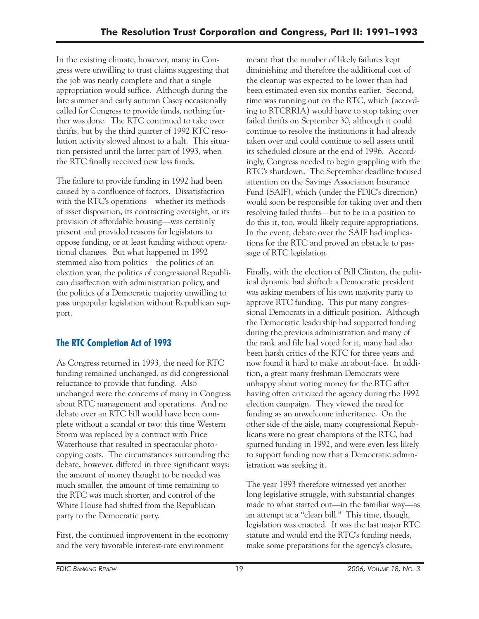In the existing climate, however, many in Congress were unwilling to trust claims suggesting that the job was nearly complete and that a single appropriation would suffice. Although during the late summer and early autumn Casey occasionally called for Congress to provide funds, nothing further was done. The RTC continued to take over thrifts, but by the third quarter of 1992 RTC resolution activity slowed almost to a halt. This situation persisted until the latter part of 1993, when the RTC finally received new loss funds.

The failure to provide funding in 1992 had been caused by a confluence of factors. Dissatisfaction with the RTC's operations—whether its methods of asset disposition, its contracting oversight, or its provision of affordable housing—was certainly present and provided reasons for legislators to oppose funding, or at least funding without operational changes. But what happened in 1992 stemmed also from politics—the politics of an election year, the politics of congressional Republican disaffection with administration policy, and the politics of a Democratic majority unwilling to pass unpopular legislation without Republican support.

## **The RTC Completion Act of 1993**

As Congress returned in 1993, the need for RTC funding remained unchanged, as did congressional reluctance to provide that funding. Also unchanged were the concerns of many in Congress about RTC management and operations. And no debate over an RTC bill would have been complete without a scandal or two: this time Western Storm was replaced by a contract with Price Waterhouse that resulted in spectacular photocopying costs. The circumstances surrounding the debate, however, differed in three significant ways: the amount of money thought to be needed was much smaller, the amount of time remaining to the RTC was much shorter, and control of the White House had shifted from the Republican party to the Democratic party.

First, the continued improvement in the economy and the very favorable interest-rate environment

meant that the number of likely failures kept diminishing and therefore the additional cost of the cleanup was expected to be lower than had been estimated even six months earlier. Second, time was running out on the RTC, which (according to RTCRRIA) would have to stop taking over failed thrifts on September 30, although it could continue to resolve the institutions it had already taken over and could continue to sell assets until its scheduled closure at the end of 1996. Accordingly, Congress needed to begin grappling with the RTC's shutdown. The September deadline focused attention on the Savings Association Insurance Fund (SAIF), which (under the FDIC's direction) would soon be responsible for taking over and then resolving failed thrifts—but to be in a position to do this it, too, would likely require appropriations. In the event, debate over the SAIF had implications for the RTC and proved an obstacle to passage of RTC legislation.

Finally, with the election of Bill Clinton, the political dynamic had shifted: a Democratic president was asking members of his own majority party to approve RTC funding. This put many congressional Democrats in a difficult position. Although the Democratic leadership had supported funding during the previous administration and many of the rank and file had voted for it, many had also been harsh critics of the RTC for three years and now found it hard to make an about-face. In addition, a great many freshman Democrats were unhappy about voting money for the RTC after having often criticized the agency during the 1992 election campaign. They viewed the need for funding as an unwelcome inheritance. On the other side of the aisle, many congressional Republicans were no great champions of the RTC, had spurned funding in 1992, and were even less likely to support funding now that a Democratic administration was seeking it.

The year 1993 therefore witnessed yet another long legislative struggle, with substantial changes made to what started out—in the familiar way—as an attempt at a "clean bill." This time, though, legislation was enacted. It was the last major RTC statute and would end the RTC's funding needs, make some preparations for the agency's closure,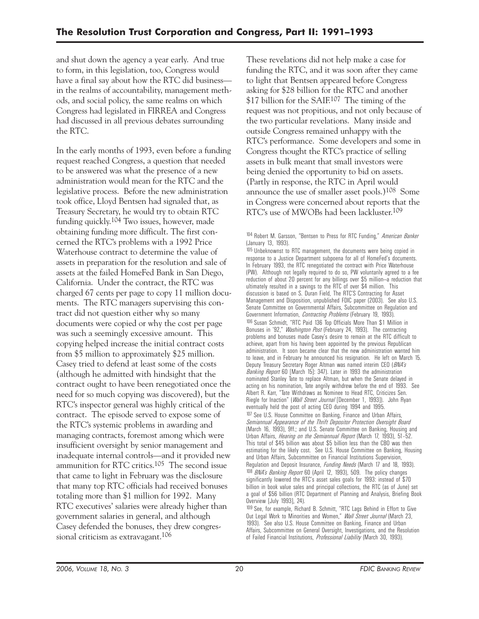and shut down the agency a year early. And true to form, in this legislation, too, Congress would have a final say about how the RTC did business in the realms of accountability, management methods, and social policy, the same realms on which Congress had legislated in FIRREA and Congress had discussed in all previous debates surrounding the RTC.

In the early months of 1993, even before a funding request reached Congress, a question that needed to be answered was what the presence of a new administration would mean for the RTC and the legislative process. Before the new administration took office, Lloyd Bentsen had signaled that, as Treasury Secretary, he would try to obtain RTC funding quickly.104 Two issues, however, made obtaining funding more difficult. The first concerned the RTC's problems with a 1992 Price Waterhouse contract to determine the value of assets in preparation for the resolution and sale of assets at the failed HomeFed Bank in San Diego, California. Under the contract, the RTC was charged 67 cents per page to copy 11 million documents. The RTC managers supervising this contract did not question either why so many documents were copied or why the cost per page was such a seemingly excessive amount. This copying helped increase the initial contract costs from \$5 million to approximately \$25 million. Casey tried to defend at least some of the costs (although he admitted with hindsight that the contract ought to have been renegotiated once the need for so much copying was discovered), but the RTC's inspector general was highly critical of the contract. The episode served to expose some of the RTC's systemic problems in awarding and managing contracts, foremost among which were insufficient oversight by senior management and inadequate internal controls—and it provided new ammunition for RTC critics.105 The second issue that came to light in February was the disclosure that many top RTC officials had received bonuses totaling more than \$1 million for 1992. Many RTC executives' salaries were already higher than government salaries in general, and although Casey defended the bonuses, they drew congressional criticism as extravagant.106

These revelations did not help make a case for funding the RTC, and it was soon after they came to light that Bentsen appeared before Congress asking for \$28 billion for the RTC and another \$17 billion for the SAIF.<sup>107</sup> The timing of the request was not propitious, and not only because of the two particular revelations. Many inside and outside Congress remained unhappy with the RTC's performance. Some developers and some in Congress thought the RTC's practice of selling assets in bulk meant that small investors were being denied the opportunity to bid on assets. (Partly in response, the RTC in April would announce the use of smaller asset pools.)108 Some in Congress were concerned about reports that the RTC's use of MWOBs had been lackluster.109

105 Unbeknownst to RTC management, the documents were being copied in response to a Justice Department subpoena for all of HomeFed's documents. In February 1993, the RTC renegotiated the contract with Price Waterhouse (PW). Although not legally required to do so, PW voluntarily agreed to a fee reduction of about 20 percent for any billings over \$5 million—a reduction that ultimately resulted in a savings to the RTC of over \$4 million. This discussion is based on S. Duran Field, The RTC'S Contracting for Asset Management and Disposition, unpublished FDIC paper (2003). See also U.S. Senate Committee on Governmental Affairs, Subcommittee on Regulation and Government Information, *Contracting Problems* (February 19, 1993). 106 Susan Schmidt, "RTC Paid 136 Top Officials More Than \$1 Million in Bonuses in '92," *Washington Post* (February 24, 1993). The contracting problems and bonuses made Casey's desire to remain at the RTC difficult to achieve, apart from his having been appointed by the previous Republican administration. It soon became clear that the new administration wanted him to leave, and in February he announced his resignation. He left on March 15. Deputy Treasury Secretary Roger Altman was named interim CEO (*BNA's Banking Report* 60 [March 15]: 347). Later in 1993 the administration nominated Stanley Tate to replace Altman, but when the Senate delayed in acting on his nomination, Tate angrily withdrew before the end of 1993. See Albert R. Karr, "Tate Withdraws as Nominee to Head RTC, Criticizes Sen. Riegle for Inaction" (*Wall Street Journal* [December 1, 1993]). John Ryan eventually held the post of acting CEO during 1994 and 1995. 107 See U.S. House Committee on Banking, Finance and Urban Affairs, *Semiannual Appearance of the Thrift Depositor Protection Oversight Board*  (March 16, 1993), 9ff.; and U.S. Senate Committee on Banking, Housing and Urban Affairs, *Hearing on the Semiannual Report* (March 17, 1993), 51–52. This total of \$45 billion was about \$5 billion less than the CBO was then estimating for the likely cost. See U.S. House Committee on Banking, Housing and Urban Affairs, Subcommittee on Financial Institutions Supervision, Regulation and Deposit Insurance, *Funding Needs* (March 17 and 18, 1993). 108 *BNA's Banking Report* 60 (April 12, 1993), 509. The policy changes significantly lowered the RTC's asset sales goals for 1993: instead of \$70 billion in book value sales and principal collections, the RTC (as of June) set a goal of \$56 billion (RTC Department of Planning and Analysis, Briefing Book Overview [July 1993], 24).

109 See, for example, Richard B. Schmitt, "RTC Lags Behind in Effort to Give Out Legal Work to Minorities and Women," *Wall Street Journal* (March 23, 1993). See also U.S. House Committee on Banking, Finance and Urban Affairs, Subcommittee on General Oversight, Investigations, and the Resolution of Failed Financial Institutions, *Professional Liability* (March 30, 1993).

<sup>104</sup> Robert M. Garsson, "Bentsen to Press for RTC Funding," *American Banker*  (January 13, 1993).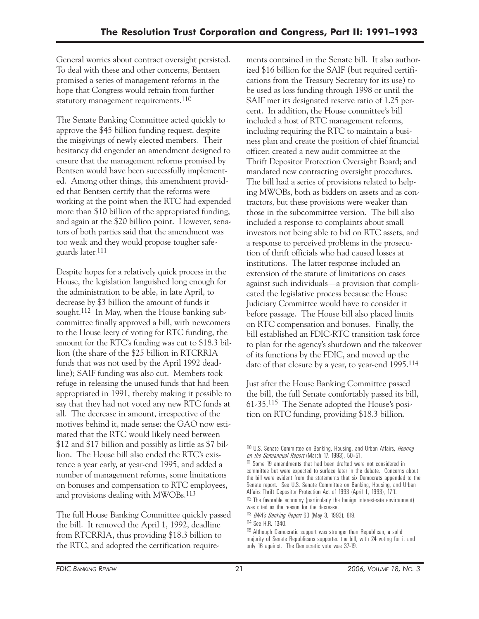General worries about contract oversight persisted. To deal with these and other concerns, Bentsen promised a series of management reforms in the hope that Congress would refrain from further statutory management requirements.<sup>110</sup>

The Senate Banking Committee acted quickly to approve the \$45 billion funding request, despite the misgivings of newly elected members. Their hesitancy did engender an amendment designed to ensure that the management reforms promised by Bentsen would have been successfully implemented. Among other things, this amendment provided that Bentsen certify that the reforms were working at the point when the RTC had expended more than \$10 billion of the appropriated funding, and again at the \$20 billion point. However, senators of both parties said that the amendment was too weak and they would propose tougher safeguards later.111

Despite hopes for a relatively quick process in the House, the legislation languished long enough for the administration to be able, in late April, to decrease by \$3 billion the amount of funds it sought.<sup>112</sup> In May, when the House banking subcommittee finally approved a bill, with newcomers to the House leery of voting for RTC funding, the amount for the RTC's funding was cut to \$18.3 billion (the share of the \$25 billion in RTCRRIA funds that was not used by the April 1992 deadline); SAIF funding was also cut. Members took refuge in releasing the unused funds that had been appropriated in 1991, thereby making it possible to say that they had not voted any new RTC funds at all. The decrease in amount, irrespective of the motives behind it, made sense: the GAO now estimated that the RTC would likely need between \$12 and \$17 billion and possibly as little as \$7 billion. The House bill also ended the RTC's existence a year early, at year-end 1995, and added a number of management reforms, some limitations on bonuses and compensation to RTC employees, and provisions dealing with MWOBs.113

The full House Banking Committee quickly passed the bill. It removed the April 1, 1992, deadline from RTCRRIA, thus providing \$18.3 billion to the RTC, and adopted the certification requirements contained in the Senate bill. It also authorized \$16 billion for the SAIF (but required certifications from the Treasury Secretary for its use) to be used as loss funding through 1998 or until the SAIF met its designated reserve ratio of 1.25 percent. In addition, the House committee's bill included a host of RTC management reforms, including requiring the RTC to maintain a business plan and create the position of chief financial officer; created a new audit committee at the Thrift Depositor Protection Oversight Board; and mandated new contracting oversight procedures. The bill had a series of provisions related to helping MWOBs, both as bidders on assets and as contractors, but these provisions were weaker than those in the subcommittee version. The bill also included a response to complaints about small investors not being able to bid on RTC assets, and a response to perceived problems in the prosecution of thrift officials who had caused losses at institutions. The latter response included an extension of the statute of limitations on cases against such individuals—a provision that complicated the legislative process because the House Judiciary Committee would have to consider it before passage. The House bill also placed limits on RTC compensation and bonuses. Finally, the bill established an FDIC-RTC transition task force to plan for the agency's shutdown and the takeover of its functions by the FDIC, and moved up the date of that closure by a year, to year-end 1995.114

Just after the House Banking Committee passed the bill, the full Senate comfortably passed its bill, 61-35.115 The Senate adopted the House's position on RTC funding, providing \$18.3 billion.

<sup>110</sup> U.S. Senate Committee on Banking, Housing, and Urban Affairs, *Hearing on the Semiannual Report* (March 17, 1993), 50–51.

<sup>111</sup> Some 19 amendments that had been drafted were not considered in committee but were expected to surface later in the debate. Concerns about the bill were evident from the statements that six Democrats appended to the Senate report. See U.S. Senate Committee on Banking, Housing, and Urban Affairs Thrift Depositor Protection Act of 1993 (April 1, 1993), 17ff. 112 The favorable economy (particularly the benign interest-rate environment)

was cited as the reason for the decrease.

<sup>113</sup> *BNA's Banking Report* 60 (May 3, 1993), 619.

<sup>114</sup> See H.R. 1340.

<sup>115</sup> Although Democratic support was stronger than Republican, a solid majority of Senate Republicans supported the bill, with 24 voting for it and only 16 against. The Democratic vote was 37-19.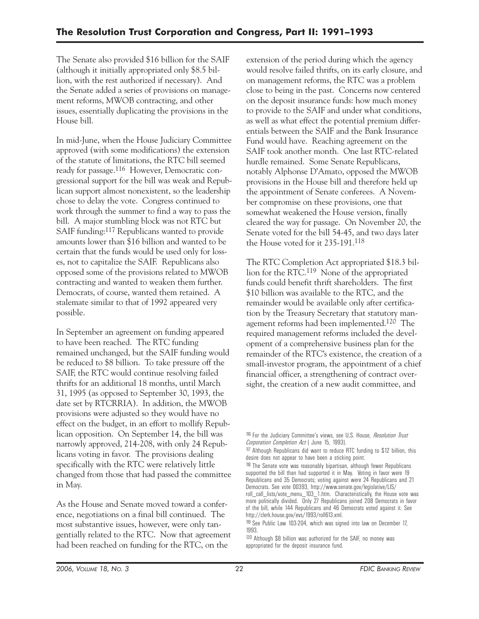The Senate also provided \$16 billion for the SAIF (although it initially appropriated only \$8.5 billion, with the rest authorized if necessary). And the Senate added a series of provisions on management reforms, MWOB contracting, and other issues, essentially duplicating the provisions in the House bill.

In mid-June, when the House Judiciary Committee approved (with some modifications) the extension of the statute of limitations, the RTC bill seemed ready for passage.116 However, Democratic congressional support for the bill was weak and Republican support almost nonexistent, so the leadership chose to delay the vote. Congress continued to work through the summer to find a way to pass the bill. A major stumbling block was not RTC but SAIF funding:117 Republicans wanted to provide amounts lower than \$16 billion and wanted to be certain that the funds would be used only for losses, not to capitalize the SAIF. Republicans also opposed some of the provisions related to MWOB contracting and wanted to weaken them further. Democrats, of course, wanted them retained. A stalemate similar to that of 1992 appeared very possible.

In September an agreement on funding appeared to have been reached. The RTC funding remained unchanged, but the SAIF funding would be reduced to \$8 billion. To take pressure off the SAIF, the RTC would continue resolving failed thrifts for an additional 18 months, until March 31, 1995 (as opposed to September 30, 1993, the date set by RTCRRIA). In addition, the MWOB provisions were adjusted so they would have no effect on the budget, in an effort to mollify Republican opposition. On September 14, the bill was narrowly approved, 214-208, with only 24 Republicans voting in favor. The provisions dealing specifically with the RTC were relatively little changed from those that had passed the committee in May.

As the House and Senate moved toward a conference, negotiations on a final bill continued. The most substantive issues, however, were only tangentially related to the RTC. Now that agreement had been reached on funding for the RTC, on the

extension of the period during which the agency would resolve failed thrifts, on its early closure, and on management reforms, the RTC was a problem close to being in the past. Concerns now centered on the deposit insurance funds: how much money to provide to the SAIF and under what conditions, as well as what effect the potential premium differentials between the SAIF and the Bank Insurance Fund would have. Reaching agreement on the SAIF took another month. One last RTC-related hurdle remained. Some Senate Republicans, notably Alphonse D'Amato, opposed the MWOB provisions in the House bill and therefore held up the appointment of Senate conferees. A November compromise on these provisions, one that somewhat weakened the House version, finally cleared the way for passage. On November 20, the Senate voted for the bill 54-45, and two days later the House voted for it 235-191.118

The RTC Completion Act appropriated \$18.3 billion for the RTC.119 None of the appropriated funds could benefit thrift shareholders. The first \$10 billion was available to the RTC, and the remainder would be available only after certification by the Treasury Secretary that statutory management reforms had been implemented.120 The required management reforms included the development of a comprehensive business plan for the remainder of the RTC's existence, the creation of a small-investor program, the appointment of a chief financial officer, a strengthening of contract oversight, the creation of a new audit committee, and

<sup>116</sup> For the Judiciary Committee's views, see U.S. House, *Resolution Trust Corporation Completion Act* ( June 15, 1993).

<sup>117</sup> Although Republicans did want to reduce RTC funding to \$12 billion, this desire does not appear to have been a sticking point.

 supported the bill than had supported it in May. Voting in favor were 19 <sup>118</sup> The Senate vote was reasonably bipartisan, although fewer Republicans Republicans and 35 Democrats; voting against were 24 Republicans and 21 Democrats. See vote 00393, http://www.senate.gov/legislative/LIS/ roll\_call\_lists/vote\_menu\_103\_1.htm. Characteristically, the House vote was more politically divided. Only 27 Republicans joined 208 Democrats in favor of the bill, while 144 Republicans and 46 Democrats voted against it. See

http://clerk.house.gov/evs/1993/roll613.xml.

 <sup>119</sup> See Public Law 103-204, which was signed into law on December 17, 1993.

<sup>120</sup> Although \$8 billion was authorized for the SAIF, no money was appropriated for the deposit insurance fund.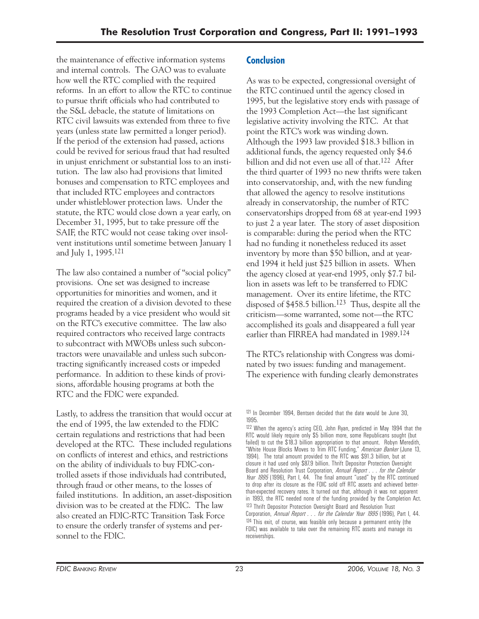the maintenance of effective information systems and internal controls. The GAO was to evaluate how well the RTC complied with the required reforms. In an effort to allow the RTC to continue to pursue thrift officials who had contributed to the S&L debacle, the statute of limitations on RTC civil lawsuits was extended from three to five years (unless state law permitted a longer period). If the period of the extension had passed, actions could be revived for serious fraud that had resulted in unjust enrichment or substantial loss to an institution. The law also had provisions that limited bonuses and compensation to RTC employees and that included RTC employees and contractors under whistleblower protection laws. Under the statute, the RTC would close down a year early, on December 31, 1995, but to take pressure off the SAIF, the RTC would not cease taking over insolvent institutions until sometime between January 1 and July 1, 1995.121

The law also contained a number of "social policy" provisions. One set was designed to increase opportunities for minorities and women, and it required the creation of a division devoted to these programs headed by a vice president who would sit on the RTC's executive committee. The law also required contractors who received large contracts to subcontract with MWOBs unless such subcontractors were unavailable and unless such subcontracting significantly increased costs or impeded performance. In addition to these kinds of provisions, affordable housing programs at both the RTC and the FDIC were expanded.

Lastly, to address the transition that would occur at the end of 1995, the law extended to the FDIC certain regulations and restrictions that had been developed at the RTC. These included regulations on conflicts of interest and ethics, and restrictions on the ability of individuals to buy FDIC-controlled assets if those individuals had contributed, through fraud or other means, to the losses of failed institutions. In addition, an asset-disposition division was to be created at the FDIC. The law also created an FDIC-RTC Transition Task Force to ensure the orderly transfer of systems and personnel to the FDIC.

### **Conclusion**

As was to be expected, congressional oversight of the RTC continued until the agency closed in 1995, but the legislative story ends with passage of the 1993 Completion Act—the last significant legislative activity involving the RTC. At that point the RTC's work was winding down. Although the 1993 law provided \$18.3 billion in additional funds, the agency requested only \$4.6 billion and did not even use all of that.122 After the third quarter of 1993 no new thrifts were taken into conservatorship, and, with the new funding that allowed the agency to resolve institutions already in conservatorship, the number of RTC conservatorships dropped from 68 at year-end 1993 to just 2 a year later. The story of asset disposition is comparable: during the period when the RTC had no funding it nonetheless reduced its asset inventory by more than \$50 billion, and at yearend 1994 it held just \$25 billion in assets. When the agency closed at year-end 1995, only \$7.7 billion in assets was left to be transferred to FDIC management. Over its entire lifetime, the RTC disposed of \$458.5 billion.123 Thus, despite all the criticism—some warranted, some not—the RTC accomplished its goals and disappeared a full year earlier than FIRREA had mandated in 1989.124

The RTC's relationship with Congress was dominated by two issues: funding and management. The experience with funding clearly demonstrates

<sup>&</sup>lt;sup>121</sup> In December 1994, Bentsen decided that the date would be June 30, 1995.

in 1993, the RTC needed none of the funding provided by the Completion Act. 122 When the agency's acting CEO, John Ryan, predicted in May 1994 that the RTC would likely require only \$5 billion more, some Republicans sought (but failed) to cut the \$18.3 billion appropriation to that amount. Robyn Meredith, "White House Blocks Moves to Trim RTC Funding," *American Banker* (June 13, 1994). The total amount provided to the RTC was \$91.3 billion, but at closure it had used only \$87.9 billion. Thrift Depositor Protection Oversight Board and Resolution Trust Corporation, *Annual Report . . . for the Calendar Year 1995* (1996), Part I, 44. The final amount "used" by the RTC continued to drop after its closure as the FDIC sold off RTC assets and achieved betterthan-expected recovery rates. It turned out that, although it was not apparent <sup>123</sup> Thrift Depositor Protection Oversight Board and Resolution Trust Corporation, *Annual Report . . . for the Calendar Year 1995* (1996), Part I, 44. <sup>124</sup> This exit, of course, was feasible only because a permanent entity (the FDIC) was available to take over the remaining RTC assets and manage its receiverships.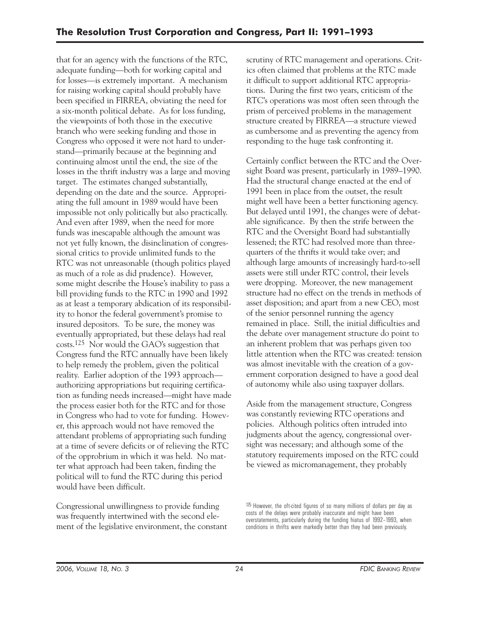that for an agency with the functions of the RTC, adequate funding—both for working capital and for losses—is extremely important. A mechanism for raising working capital should probably have been specified in FIRREA, obviating the need for a six-month political debate. As for loss funding, the viewpoints of both those in the executive branch who were seeking funding and those in Congress who opposed it were not hard to understand—primarily because at the beginning and continuing almost until the end, the size of the losses in the thrift industry was a large and moving target. The estimates changed substantially, depending on the date and the source. Appropriating the full amount in 1989 would have been impossible not only politically but also practically. And even after 1989, when the need for more funds was inescapable although the amount was not yet fully known, the disinclination of congressional critics to provide unlimited funds to the RTC was not unreasonable (though politics played as much of a role as did prudence). However, some might describe the House's inability to pass a bill providing funds to the RTC in 1990 and 1992 as at least a temporary abdication of its responsibility to honor the federal government's promise to insured depositors. To be sure, the money was eventually appropriated, but these delays had real costs.125 Nor would the GAO's suggestion that Congress fund the RTC annually have been likely to help remedy the problem, given the political reality. Earlier adoption of the 1993 approach authorizing appropriations but requiring certification as funding needs increased—might have made the process easier both for the RTC and for those in Congress who had to vote for funding. However, this approach would not have removed the attendant problems of appropriating such funding at a time of severe deficits or of relieving the RTC of the opprobrium in which it was held. No matter what approach had been taken, finding the political will to fund the RTC during this period would have been difficult.

Congressional unwillingness to provide funding was frequently intertwined with the second element of the legislative environment, the constant scrutiny of RTC management and operations. Critics often claimed that problems at the RTC made it difficult to support additional RTC appropriations. During the first two years, criticism of the RTC's operations was most often seen through the prism of perceived problems in the management structure created by FIRREA—a structure viewed as cumbersome and as preventing the agency from responding to the huge task confronting it.

Certainly conflict between the RTC and the Oversight Board was present, particularly in 1989–1990. Had the structural change enacted at the end of 1991 been in place from the outset, the result might well have been a better functioning agency. But delayed until 1991, the changes were of debatable significance. By then the strife between the RTC and the Oversight Board had substantially lessened; the RTC had resolved more than threequarters of the thrifts it would take over; and although large amounts of increasingly hard-to-sell assets were still under RTC control, their levels were dropping. Moreover, the new management structure had no effect on the trends in methods of asset disposition; and apart from a new CEO, most of the senior personnel running the agency remained in place. Still, the initial difficulties and the debate over management structure do point to an inherent problem that was perhaps given too little attention when the RTC was created: tension was almost inevitable with the creation of a government corporation designed to have a good deal of autonomy while also using taxpayer dollars.

Aside from the management structure, Congress was constantly reviewing RTC operations and policies. Although politics often intruded into judgments about the agency, congressional oversight was necessary; and although some of the statutory requirements imposed on the RTC could be viewed as micromanagement, they probably

<sup>125</sup> However, the oft-cited figures of so many millions of dollars per day as costs of the delays were probably inaccurate and might have been overstatements, particularly during the funding hiatus of 1992–1993, when conditions in thrifts were markedly better than they had been previously.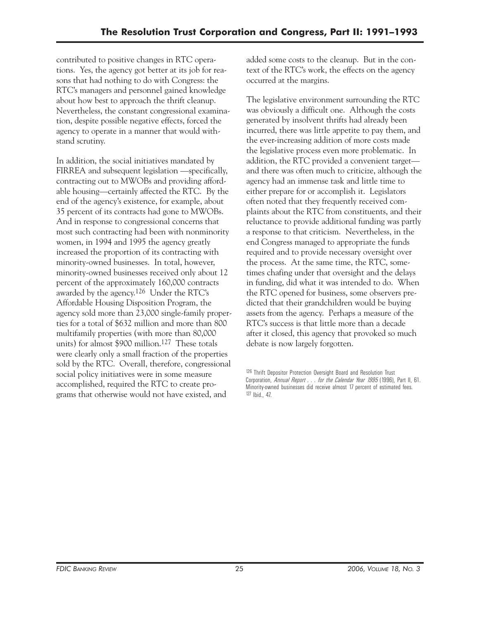contributed to positive changes in RTC operations. Yes, the agency got better at its job for reasons that had nothing to do with Congress: the RTC's managers and personnel gained knowledge about how best to approach the thrift cleanup. Nevertheless, the constant congressional examination, despite possible negative effects, forced the agency to operate in a manner that would withstand scrutiny.

In addition, the social initiatives mandated by FIRREA and subsequent legislation —specifically, contracting out to MWOBs and providing affordable housing—certainly affected the RTC. By the end of the agency's existence, for example, about 35 percent of its contracts had gone to MWOBs. And in response to congressional concerns that most such contracting had been with nonminority women, in 1994 and 1995 the agency greatly increased the proportion of its contracting with minority-owned businesses. In total, however, minority-owned businesses received only about 12 percent of the approximately 160,000 contracts awarded by the agency.126 Under the RTC's Affordable Housing Disposition Program, the agency sold more than 23,000 single-family properties for a total of \$632 million and more than 800 multifamily properties (with more than 80,000 units) for almost \$900 million.127 These totals were clearly only a small fraction of the properties sold by the RTC. Overall, therefore, congressional social policy initiatives were in some measure accomplished, required the RTC to create programs that otherwise would not have existed, and

added some costs to the cleanup. But in the context of the RTC's work, the effects on the agency occurred at the margins.

The legislative environment surrounding the RTC was obviously a difficult one. Although the costs generated by insolvent thrifts had already been incurred, there was little appetite to pay them, and the ever-increasing addition of more costs made the legislative process even more problematic. In addition, the RTC provided a convenient target and there was often much to criticize, although the agency had an immense task and little time to either prepare for or accomplish it. Legislators often noted that they frequently received complaints about the RTC from constituents, and their reluctance to provide additional funding was partly a response to that criticism. Nevertheless, in the end Congress managed to appropriate the funds required and to provide necessary oversight over the process. At the same time, the RTC, sometimes chafing under that oversight and the delays in funding, did what it was intended to do. When the RTC opened for business, some observers predicted that their grandchildren would be buying assets from the agency. Perhaps a measure of the RTC's success is that little more than a decade after it closed, this agency that provoked so much debate is now largely forgotten.

<sup>126</sup> Thrift Depositor Protection Oversight Board and Resolution Trust Corporation, *Annual Report . . . for the Calendar Year 1995* (1996), Part II, 61. Minority-owned businesses did receive almost 17 percent of estimated fees. 127 Ibid., 47.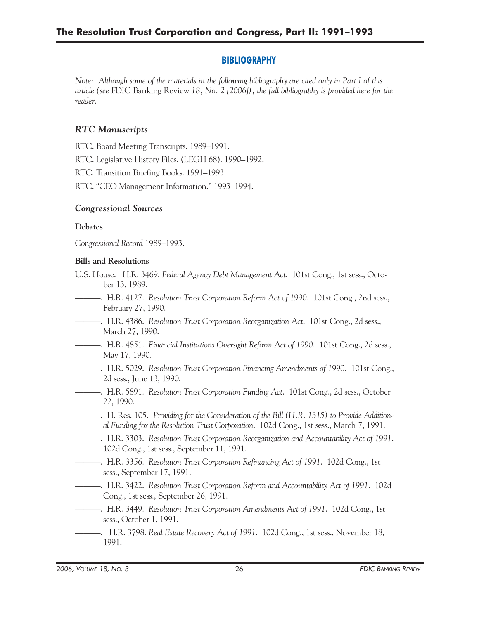#### **BIBLIOGRAPHY**

*Note: Although some of the materials in the following bibliography are cited only in Part I of this article (see* FDIC Banking Review *18, No. 2 [2006]), the full bibliography is provided here for the reader.* 

#### *RTC Manuscripts*

RTC. Board Meeting Transcripts. 1989–1991.

RTC. Legislative History Files. (LEGH 68). 1990–1992.

RTC. Transition Briefing Books. 1991–1993.

RTC. "CEO Management Information." 1993–1994.

#### *Congressional Sources*

#### **Debates**

*Congressional Record* 1989–1993.

#### **Bills and Resolutions**

- U.S. House. H.R. 3469. *Federal Agency Debt Management Act*. 101st Cong., 1st sess., October 13, 1989.
- ———. H.R. 4127. *Resolution Trust Corporation Reform Act of 1990*. 101st Cong., 2nd sess., February 27, 1990.
- ———. H.R. 4386. *Resolution Trust Corporation Reorganization Act*. 101st Cong., 2d sess., March 27, 1990.
- ———. H.R. 4851. *Financial Institutions Oversight Reform Act of 1990*. 101st Cong., 2d sess., May 17, 1990.
- ———. H.R. 5029. *Resolution Trust Corporation Financing Amendments of 1990*. 101st Cong., 2d sess., June 13, 1990.
- ———. H.R. 5891. *Resolution Trust Corporation Funding Act*. 101st Cong., 2d sess., October 22, 1990.
- ———. H. Res. 105. *Providing for the Consideration of the Bill (H.R. 1315) to Provide Additional Funding for the Resolution Trust Corporation*. 102d Cong., 1st sess., March 7, 1991.
- ———. H.R. 3303. *Resolution Trust Corporation Reorganization and Accountability Act of 1991*. 102d Cong., 1st sess., September 11, 1991.
- ———. H.R. 3356. *Resolution Trust Corporation Refinancing Act of 1991*. 102d Cong., 1st sess., September 17, 1991.
- ———. H.R. 3422. *Resolution Trust Corporation Reform and Accountability Act of 1991*. 102d Cong., 1st sess., September 26, 1991.
- ———. H.R. 3449. *Resolution Trust Corporation Amendments Act of 1991*. 102d Cong., 1st sess., October 1, 1991.
- ———. H.R. 3798. *Real Estate Recovery Act of 1991*. 102d Cong., 1st sess., November 18, 1991.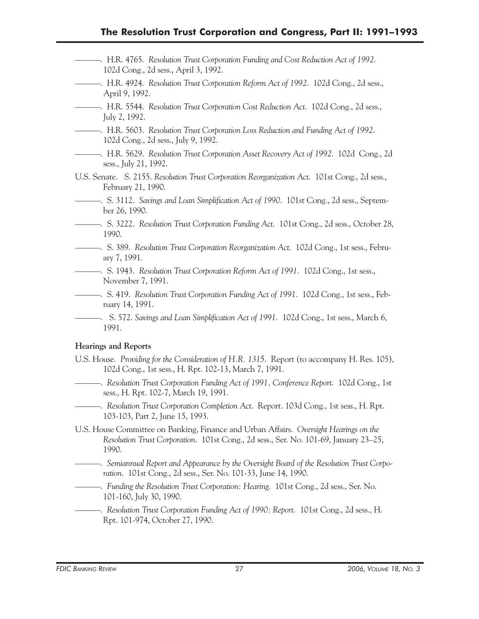- ———. H.R. 4765. *Resolution Trust Corporation Funding and Cost Reduction Act of 1992*. 102d Cong., 2d sess., April 3, 1992.
- ———. H.R. 4924. *Resolution Trust Corporation Reform Act of 1992*. 102d Cong., 2d sess., April 9, 1992.
- ———. H.R. 5544. *Resolution Trust Corporation Cost Reduction Act*. 102d Cong., 2d sess., July 2, 1992.
- ———. H.R. 5603. *Resolution Trust Corporation Loss Reduction and Funding Act of 1992*. 102d Cong., 2d sess., July 9, 1992.
- ———. H.R. 5629. *Resolution Trust Corporation Asset Recovery Act of 1992*. 102d Cong., 2d sess., July 21, 1992.
- U.S. Senate. S. 2155. *Resolution Trust Corporation Reorganization Act*. 101st Cong., 2d sess., February 21, 1990.
- ———. S. 3112. *Savings and Loan Simplification Act of 1990*. 101st Cong., 2d sess., September 26, 1990.
- ———. S. 3222. *Resolution Trust Corporation Funding Act*. 101st Cong., 2d sess., October 28, 1990.
- ———. S. 389. *Resolution Trust Corporation Reorganization Act*. 102d Cong., 1st sess., February 7, 1991.
- ———. S. 1943. *Resolution Trust Corporation Reform Act of 1991*. 102d Cong., 1st sess., November 7, 1991.
- ———. S. 419. *Resolution Trust Corporation Funding Act of 1991*. 102d Cong., 1st sess., February 14, 1991.
- ———. S. 572. *Savings and Loan Simplification Act of 1991*. 102d Cong., 1st sess., March 6, 1991.

#### **Hearings and Reports**

- U.S. House. *Providing for the Consideration of H.R. 1315*. Report (to accompany H. Res. 105), 102d Cong., 1st sess., H. Rpt. 102-13, March 7, 1991.
- ———. *Resolution Trust Corporation Funding Act of 1991, Conference Report*. 102d Cong., 1st sess., H. Rpt. 102-7, March 19, 1991.
- ———. *Resolution Trust Corporation Completion Act*. Report. 103d Cong., 1st sess., H. Rpt. 103-103, Part 2, June 15, 1993.
- U.S. House Committee on Banking, Finance and Urban Affairs. *Oversight Hearings on the Resolution Trust Corporation*. 101st Cong., 2d sess., Ser. No. 101-69, January 23–25, 1990.
- ———. *Semiannual Report and Appearance by the Oversight Board of the Resolution Trust Corporation*. 101st Cong., 2d sess., Ser. No. 101-33, June 14, 1990.
- ———. *Funding the Resolution Trust Corporation: Hearing*. 101st Cong., 2d sess., Ser. No. 101-160, July 30, 1990.

———. *Resolution Trust Corporation Funding Act of 1990: Report*. 101st Cong., 2d sess., H. Rpt. 101-974, October 27, 1990.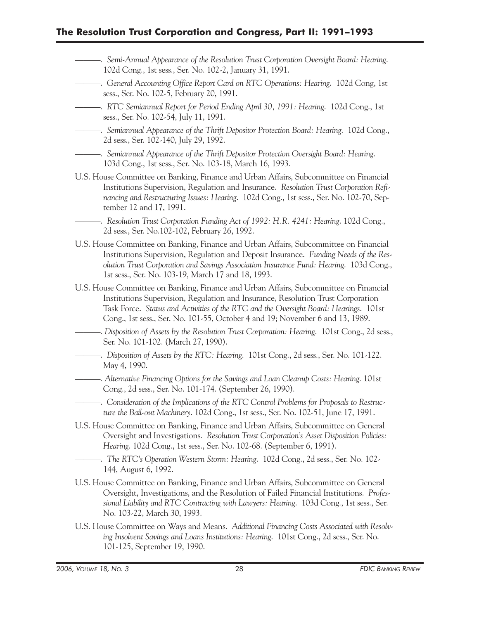———. *Semi-Annual Appearance of the Resolution Trust Corporation Oversight Board: Hearing*. 102d Cong., 1st sess., Ser. No. 102-2, January 31, 1991. ———. *General Accounting Office Report Card on RTC Operations: Hearing*. 102d Cong, 1st sess., Ser. No. 102-5, February 20, 1991. ———. *RTC Semiannual Report for Period Ending April 30, 1991: Hearing*. 102d Cong., 1st sess., Ser. No. 102-54, July 11, 1991. ———. *Semiannual Appearance of the Thrift Depositor Protection Board: Hearing*. 102d Cong., 2d sess., Ser. 102-140, July 29, 1992. ———. *Semiannual Appearance of the Thrift Depositor Protection Oversight Board: Hearing*. 103d Cong., 1st sess., Ser. No. 103-18, March 16, 1993. U.S. House Committee on Banking, Finance and Urban Affairs, Subcommittee on Financial Institutions Supervision, Regulation and Insurance. *Resolution Trust Corporation Refinancing and Restructuring Issues: Hearing*. 102d Cong., 1st sess., Ser. No. 102-70, September 12 and 17, 1991. ———. *Resolution Trust Corporation Funding Act of 1992: H.R. 4241: Hearing*. 102d Cong., 2d sess., Ser. No.102-102, February 26, 1992. U.S. House Committee on Banking, Finance and Urban Affairs, Subcommittee on Financial Institutions Supervision, Regulation and Deposit Insurance. *Funding Needs of the Resolution Trust Corporation and Savings Association Insurance Fund: Hearing*. 103d Cong., 1st sess., Ser. No. 103-19, March 17 and 18, 1993. U.S. House Committee on Banking, Finance and Urban Affairs, Subcommittee on Financial Institutions Supervision, Regulation and Insurance, Resolution Trust Corporation Task Force. *Status and Activities of the RTC and the Oversight Board: Hearings*. 101st Cong., 1st sess., Ser. No. 101-55, October 4 and 19; November 6 and 13, 1989. ———. *Disposition of Assets by the Resolution Trust Corporation: Hearing*. 101st Cong., 2d sess., Ser. No. 101-102. (March 27, 1990). ———. *Disposition of Assets by the RTC: Hearing*. 101st Cong., 2d sess., Ser. No. 101-122. May 4, 1990. ———. *Alternative Financing Options for the Savings and Loan Cleanup Costs: Hearing*. 101st Cong., 2d sess., Ser. No. 101-174. (September 26, 1990). ———. *Consideration of the Implications of the RTC Control Problems for Proposals to Restructure the Bail-out Machinery*. 102d Cong., 1st sess., Ser. No. 102-51, June 17, 1991. U.S. House Committee on Banking, Finance and Urban Affairs, Subcommittee on General Oversight and Investigations. *Resolution Trust Corporation's Asset Disposition Policies: Hearing*. 102d Cong., 1st sess., Ser. No. 102-68. (September 6, 1991). —. The RTC's Operation Western Storm: Hearing. 102d Cong., 2d sess., Ser. No. 102-144, August 6, 1992. U.S. House Committee on Banking, Finance and Urban Affairs, Subcommittee on General Oversight, Investigations, and the Resolution of Failed Financial Institutions. *Professional Liability and RTC Contracting with Lawyers: Hearing*. 103d Cong., 1st sess., Ser. No. 103-22, March 30, 1993. U.S. House Committee on Ways and Means. *Additional Financing Costs Associated with Resolving Insolvent Savings and Loans Institutions: Hearing*. 101st Cong., 2d sess., Ser. No. 101-125, September 19, 1990.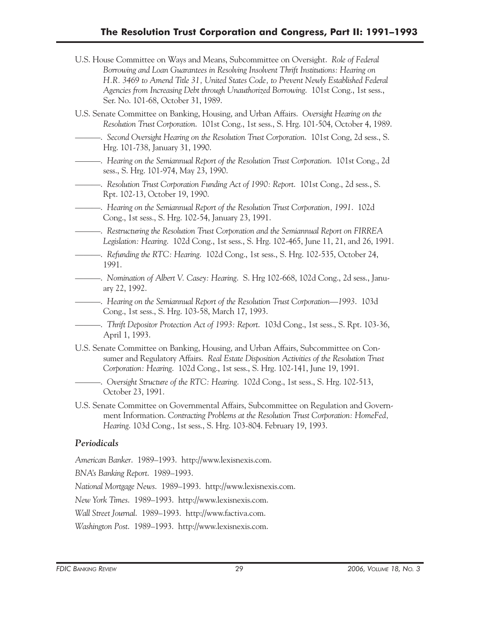- U.S. House Committee on Ways and Means, Subcommittee on Oversight. *Role of Federal Borrowing and Loan Guarantees in Resolving Insolvent Thrift Institutions: Hearing on H.R. 3469 to Amend Title 31, United States Code, to Prevent Newly Established Federal Agencies from Increasing Debt through Unauthorized Borrowing*. 101st Cong., 1st sess., Ser. No. 101-68, October 31, 1989.
- U.S. Senate Committee on Banking, Housing, and Urban Affairs. *Oversight Hearing on the Resolution Trust Corporation*. 101st Cong., 1st sess., S. Hrg. 101-504, October 4, 1989.
- ———. *Second Oversight Hearing on the Resolution Trust Corporation*. 101st Cong, 2d sess., S. Hrg. 101-738, January 31, 1990.
- ———. *Hearing on the Semiannual Report of the Resolution Trust Corporation*. 101st Cong., 2d sess., S. Hrg. 101-974, May 23, 1990.
- ———. *Resolution Trust Corporation Funding Act of 1990: Report*. 101st Cong., 2d sess., S. Rpt. 102-13, October 19, 1990.
- ———. *Hearing on the Semiannual Report of the Resolution Trust Corporation, 1991*. 102d Cong., 1st sess., S. Hrg. 102-54, January 23, 1991.
- ———. *Restructuring the Resolution Trust Corporation and the Semiannual Report on FIRREA Legislation: Hearing*. 102d Cong., 1st sess., S. Hrg. 102-465, June 11, 21, and 26, 1991.
- ———. *Refunding the RTC: Hearing*. 102d Cong., 1st sess., S. Hrg. 102-535, October 24, 1991.
- ———. *Nomination of Albert V. Casey: Hearing*. S. Hrg 102-668, 102d Cong., 2d sess., January 22, 1992.
- ———. *Hearing on the Semiannual Report of the Resolution Trust Corporation—1993*. 103d Cong., 1st sess., S. Hrg. 103-58, March 17, 1993.
- ———. *Thrift Depositor Protection Act of 1993: Report*. 103d Cong., 1st sess., S. Rpt. 103-36, April 1, 1993.
- U.S. Senate Committee on Banking, Housing, and Urban Affairs, Subcommittee on Consumer and Regulatory Affairs. *Real Estate Disposition Activities of the Resolution Trust Corporation: Hearing*. 102d Cong., 1st sess., S. Hrg. 102-141, June 19, 1991.
- ———. *Oversight Structure of the RTC: Hearing*. 102d Cong., 1st sess., S. Hrg. 102-513, October 23, 1991.
- U.S. Senate Committee on Governmental Affairs, Subcommittee on Regulation and Government Information. *Contracting Problems at the Resolution Trust Corporation: HomeFed, Hearing*. 103d Cong., 1st sess., S. Hrg. 103-804. February 19, 1993.

### *Periodicals*

*American Banker*. 1989–1993. http://www.lexisnexis.com.

*BNA's Banking Report*. 1989–1993.

*National Mortgage News*. 1989–1993. http://www.lexisnexis.com.

*New York Times*. 1989–1993. http://www.lexisnexis.com.

*Wall Street Journal*. 1989–1993. http://www.factiva.com.

*Washington Post*. 1989–1993. http://www.lexisnexis.com.